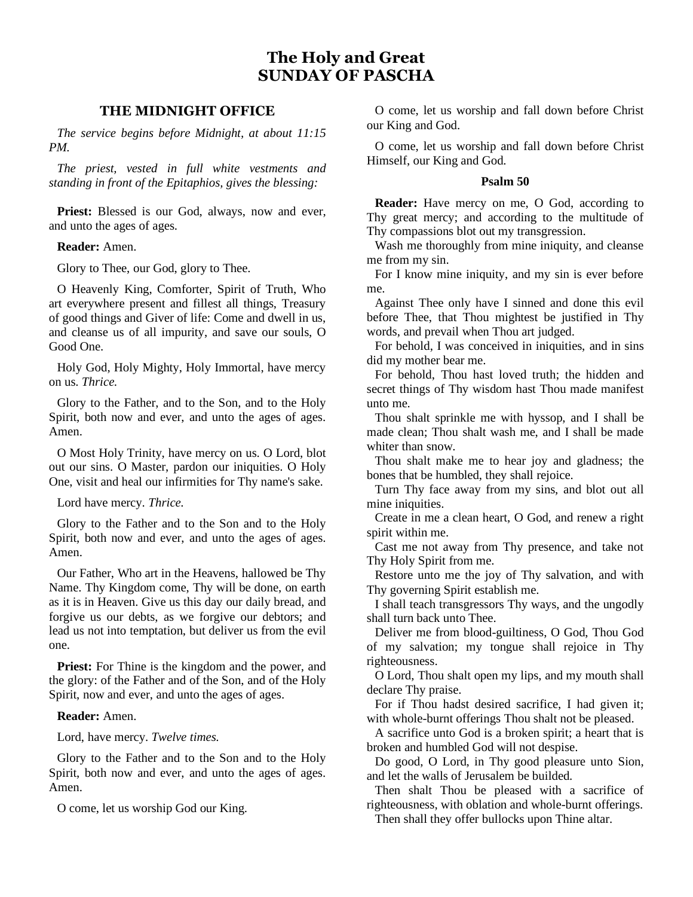# **The Holy and Great SUNDAY OF PASCHA**

## **THE MIDNIGHT OFFICE**

*The service begins before Midnight, at about 11:15 PM.*

*The priest, vested in full white vestments and standing in front of the Epitaphios, gives the blessing:* 

**Priest:** Blessed is our God, always, now and ever, and unto the ages of ages.

**Reader:** Amen.

Glory to Thee, our God, glory to Thee.

O Heavenly King, Comforter, Spirit of Truth, Who art everywhere present and fillest all things, Treasury of good things and Giver of life: Come and dwell in us, and cleanse us of all impurity, and save our souls, O Good One.

Holy God, Holy Mighty, Holy Immortal, have mercy on us. *Thrice.*

Glory to the Father, and to the Son, and to the Holy Spirit, both now and ever, and unto the ages of ages. Amen.

O Most Holy Trinity, have mercy on us. O Lord, blot out our sins. O Master, pardon our iniquities. O Holy One, visit and heal our infirmities for Thy name's sake.

Lord have mercy. *Thrice.*

Glory to the Father and to the Son and to the Holy Spirit, both now and ever, and unto the ages of ages. Amen.

Our Father, Who art in the Heavens, hallowed be Thy Name. Thy Kingdom come, Thy will be done, on earth as it is in Heaven. Give us this day our daily bread, and forgive us our debts, as we forgive our debtors; and lead us not into temptation, but deliver us from the evil one.

**Priest:** For Thine is the kingdom and the power, and the glory: of the Father and of the Son, and of the Holy Spirit, now and ever, and unto the ages of ages.

## **Reader:** Amen.

Lord, have mercy. *Twelve times.*

Glory to the Father and to the Son and to the Holy Spirit, both now and ever, and unto the ages of ages. Amen.

O come, let us worship God our King.

O come, let us worship and fall down before Christ our King and God.

O come, let us worship and fall down before Christ Himself, our King and God.

### **Psalm 50**

**Reader:** Have mercy on me, O God, according to Thy great mercy; and according to the multitude of Thy compassions blot out my transgression.

Wash me thoroughly from mine iniquity, and cleanse me from my sin.

For I know mine iniquity, and my sin is ever before me.

Against Thee only have I sinned and done this evil before Thee, that Thou mightest be justified in Thy words, and prevail when Thou art judged.

For behold, I was conceived in iniquities, and in sins did my mother bear me.

For behold, Thou hast loved truth; the hidden and secret things of Thy wisdom hast Thou made manifest unto me.

Thou shalt sprinkle me with hyssop, and I shall be made clean; Thou shalt wash me, and I shall be made whiter than snow.

Thou shalt make me to hear joy and gladness; the bones that be humbled, they shall rejoice.

Turn Thy face away from my sins, and blot out all mine iniquities.

Create in me a clean heart, O God, and renew a right spirit within me.

Cast me not away from Thy presence, and take not Thy Holy Spirit from me.

Restore unto me the joy of Thy salvation, and with Thy governing Spirit establish me.

I shall teach transgressors Thy ways, and the ungodly shall turn back unto Thee.

Deliver me from blood-guiltiness, O God, Thou God of my salvation; my tongue shall rejoice in Thy righteousness.

O Lord, Thou shalt open my lips, and my mouth shall declare Thy praise.

For if Thou hadst desired sacrifice, I had given it; with whole-burnt offerings Thou shalt not be pleased.

A sacrifice unto God is a broken spirit; a heart that is broken and humbled God will not despise.

Do good, O Lord, in Thy good pleasure unto Sion, and let the walls of Jerusalem be builded.

Then shalt Thou be pleased with a sacrifice of righteousness, with oblation and whole-burnt offerings.

Then shall they offer bullocks upon Thine altar.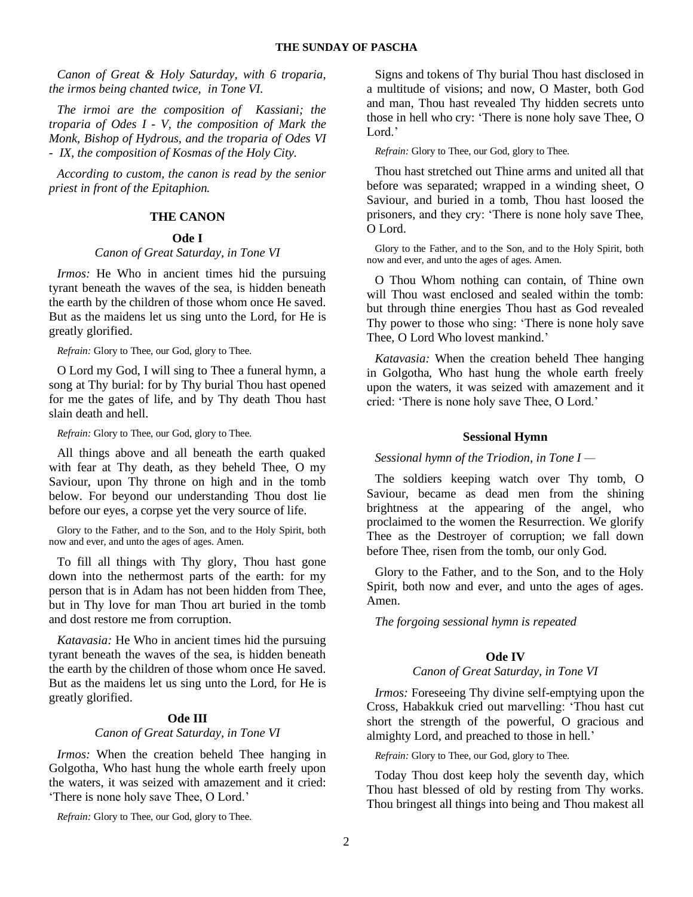*Canon of Great & Holy Saturday, with 6 troparia, the irmos being chanted twice, in Tone VI.* 

*The irmoi are the composition of Kassiani; the troparia of Odes I - V, the composition of Mark the Monk, Bishop of Hydrous, and the troparia of Odes VI - IX, the composition of Kosmas of the Holy City.* 

*According to custom, the canon is read by the senior priest in front of the Epitaphion.* 

#### **THE CANON**

## **Ode I**

#### *Canon of Great Saturday, in Tone VI*

*Irmos:* He Who in ancient times hid the pursuing tyrant beneath the waves of the sea, is hidden beneath the earth by the children of those whom once He saved. But as the maidens let us sing unto the Lord, for He is greatly glorified.

*Refrain:* Glory to Thee, our God, glory to Thee.

O Lord my God, I will sing to Thee a funeral hymn, a song at Thy burial: for by Thy burial Thou hast opened for me the gates of life, and by Thy death Thou hast slain death and hell.

*Refrain:* Glory to Thee, our God, glory to Thee.

All things above and all beneath the earth quaked with fear at Thy death, as they beheld Thee, O my Saviour, upon Thy throne on high and in the tomb below. For beyond our understanding Thou dost lie before our eyes, a corpse yet the very source of life.

Glory to the Father, and to the Son, and to the Holy Spirit, both now and ever, and unto the ages of ages. Amen.

To fill all things with Thy glory, Thou hast gone down into the nethermost parts of the earth: for my person that is in Adam has not been hidden from Thee, but in Thy love for man Thou art buried in the tomb and dost restore me from corruption.

*Katavasia:* He Who in ancient times hid the pursuing tyrant beneath the waves of the sea, is hidden beneath the earth by the children of those whom once He saved. But as the maidens let us sing unto the Lord, for He is greatly glorified.

### **Ode III**

#### *Canon of Great Saturday, in Tone VI*

*Irmos:* When the creation beheld Thee hanging in Golgotha, Who hast hung the whole earth freely upon the waters, it was seized with amazement and it cried: 'There is none holy save Thee, O Lord.'

*Refrain:* Glory to Thee, our God, glory to Thee.

Signs and tokens of Thy burial Thou hast disclosed in a multitude of visions; and now, O Master, both God and man, Thou hast revealed Thy hidden secrets unto those in hell who cry: 'There is none holy save Thee, O Lord.'

*Refrain:* Glory to Thee, our God, glory to Thee.

Thou hast stretched out Thine arms and united all that before was separated; wrapped in a winding sheet, O Saviour, and buried in a tomb, Thou hast loosed the prisoners, and they cry: 'There is none holy save Thee, O Lord.

Glory to the Father, and to the Son, and to the Holy Spirit, both now and ever, and unto the ages of ages. Amen.

O Thou Whom nothing can contain, of Thine own will Thou wast enclosed and sealed within the tomb: but through thine energies Thou hast as God revealed Thy power to those who sing: 'There is none holy save Thee, O Lord Who lovest mankind.'

*Katavasia:* When the creation beheld Thee hanging in Golgotha, Who hast hung the whole earth freely upon the waters, it was seized with amazement and it cried: 'There is none holy save Thee, O Lord.'

#### **Sessional Hymn**

#### *Sessional hymn of the Triodion, in Tone I —*

The soldiers keeping watch over Thy tomb, O Saviour, became as dead men from the shining brightness at the appearing of the angel, who proclaimed to the women the Resurrection. We glorify Thee as the Destroyer of corruption; we fall down before Thee, risen from the tomb, our only God.

Glory to the Father, and to the Son, and to the Holy Spirit, both now and ever, and unto the ages of ages. Amen.

*The forgoing sessional hymn is repeated* 

### **Ode IV**

#### *Canon of Great Saturday, in Tone VI*

*Irmos:* Foreseeing Thy divine self-emptying upon the Cross, Habakkuk cried out marvelling: 'Thou hast cut short the strength of the powerful, O gracious and almighty Lord, and preached to those in hell.'

*Refrain:* Glory to Thee, our God, glory to Thee.

Today Thou dost keep holy the seventh day, which Thou hast blessed of old by resting from Thy works. Thou bringest all things into being and Thou makest all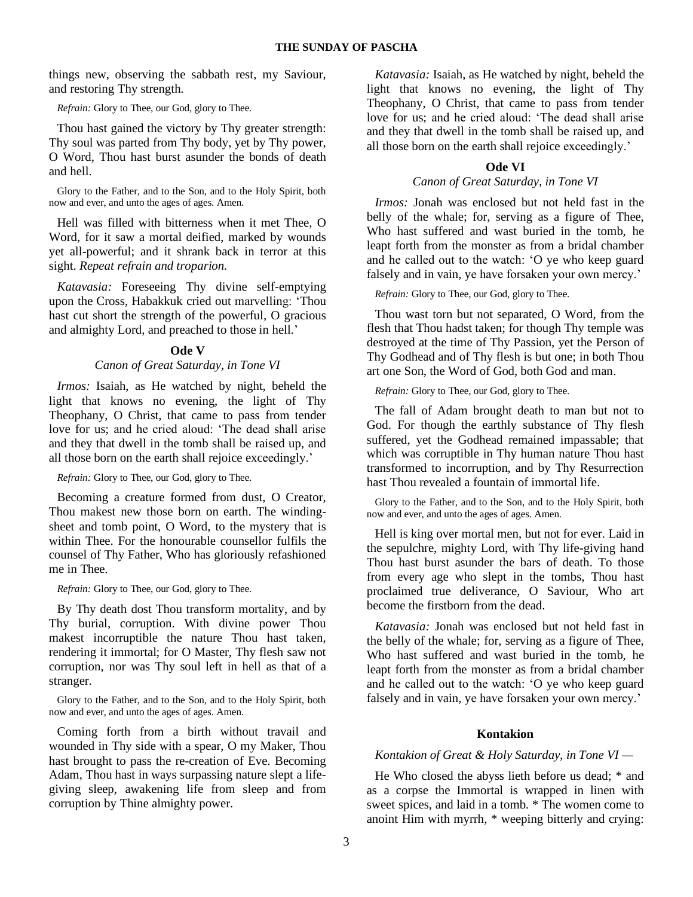things new, observing the sabbath rest, my Saviour, and restoring Thy strength.

### *Refrain:* Glory to Thee, our God, glory to Thee.

Thou hast gained the victory by Thy greater strength: Thy soul was parted from Thy body, yet by Thy power, O Word, Thou hast burst asunder the bonds of death and hell.

Glory to the Father, and to the Son, and to the Holy Spirit, both now and ever, and unto the ages of ages. Amen.

Hell was filled with bitterness when it met Thee, O Word, for it saw a mortal deified, marked by wounds yet all-powerful; and it shrank back in terror at this sight. *Repeat refrain and troparion.* 

*Katavasia:* Foreseeing Thy divine self-emptying upon the Cross, Habakkuk cried out marvelling: 'Thou hast cut short the strength of the powerful, O gracious and almighty Lord, and preached to those in hell.'

### **Ode V**

#### *Canon of Great Saturday, in Tone VI*

*Irmos:* Isaiah, as He watched by night, beheld the light that knows no evening, the light of Thy Theophany, O Christ, that came to pass from tender love for us; and he cried aloud: 'The dead shall arise and they that dwell in the tomb shall be raised up, and all those born on the earth shall rejoice exceedingly.'

### *Refrain:* Glory to Thee, our God, glory to Thee.

Becoming a creature formed from dust, O Creator, Thou makest new those born on earth. The windingsheet and tomb point, O Word, to the mystery that is within Thee. For the honourable counsellor fulfils the counsel of Thy Father, Who has gloriously refashioned me in Thee.

*Refrain:* Glory to Thee, our God, glory to Thee.

By Thy death dost Thou transform mortality, and by Thy burial, corruption. With divine power Thou makest incorruptible the nature Thou hast taken, rendering it immortal; for O Master, Thy flesh saw not corruption, nor was Thy soul left in hell as that of a stranger.

Glory to the Father, and to the Son, and to the Holy Spirit, both now and ever, and unto the ages of ages. Amen.

Coming forth from a birth without travail and wounded in Thy side with a spear, O my Maker, Thou hast brought to pass the re-creation of Eve. Becoming Adam, Thou hast in ways surpassing nature slept a lifegiving sleep, awakening life from sleep and from corruption by Thine almighty power.

*Katavasia:* Isaiah, as He watched by night, beheld the light that knows no evening, the light of Thy Theophany, O Christ, that came to pass from tender love for us; and he cried aloud: 'The dead shall arise and they that dwell in the tomb shall be raised up, and all those born on the earth shall rejoice exceedingly.'

## **Ode VI**

#### *Canon of Great Saturday, in Tone VI*

*Irmos:* Jonah was enclosed but not held fast in the belly of the whale; for, serving as a figure of Thee, Who hast suffered and wast buried in the tomb, he leapt forth from the monster as from a bridal chamber and he called out to the watch: 'O ye who keep guard falsely and in vain, ye have forsaken your own mercy.'

*Refrain:* Glory to Thee, our God, glory to Thee.

Thou wast torn but not separated, O Word, from the flesh that Thou hadst taken; for though Thy temple was destroyed at the time of Thy Passion, yet the Person of Thy Godhead and of Thy flesh is but one; in both Thou art one Son, the Word of God, both God and man.

*Refrain:* Glory to Thee, our God, glory to Thee.

The fall of Adam brought death to man but not to God. For though the earthly substance of Thy flesh suffered, yet the Godhead remained impassable; that which was corruptible in Thy human nature Thou hast transformed to incorruption, and by Thy Resurrection hast Thou revealed a fountain of immortal life.

Glory to the Father, and to the Son, and to the Holy Spirit, both now and ever, and unto the ages of ages. Amen.

Hell is king over mortal men, but not for ever. Laid in the sepulchre, mighty Lord, with Thy life-giving hand Thou hast burst asunder the bars of death. To those from every age who slept in the tombs, Thou hast proclaimed true deliverance, O Saviour, Who art become the firstborn from the dead.

*Katavasia:* Jonah was enclosed but not held fast in the belly of the whale; for, serving as a figure of Thee, Who hast suffered and wast buried in the tomb, he leapt forth from the monster as from a bridal chamber and he called out to the watch: 'O ye who keep guard falsely and in vain, ye have forsaken your own mercy.'

#### **Kontakion**

#### *Kontakion of Great & Holy Saturday, in Tone VI —*

He Who closed the abyss lieth before us dead; \* and as a corpse the Immortal is wrapped in linen with sweet spices, and laid in a tomb. \* The women come to anoint Him with myrrh, \* weeping bitterly and crying: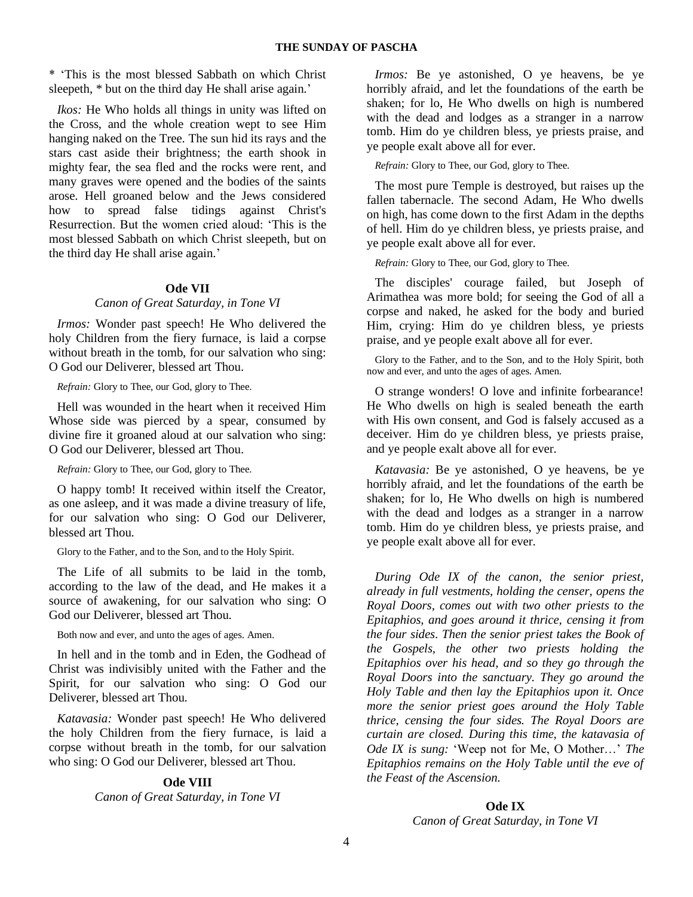\* 'This is the most blessed Sabbath on which Christ sleepeth, \* but on the third day He shall arise again.'

*Ikos:* He Who holds all things in unity was lifted on the Cross, and the whole creation wept to see Him hanging naked on the Tree. The sun hid its rays and the stars cast aside their brightness; the earth shook in mighty fear, the sea fled and the rocks were rent, and many graves were opened and the bodies of the saints arose. Hell groaned below and the Jews considered how to spread false tidings against Christ's Resurrection. But the women cried aloud: 'This is the most blessed Sabbath on which Christ sleepeth, but on the third day He shall arise again.'

## **Ode VII**

#### *Canon of Great Saturday, in Tone VI*

*Irmos:* Wonder past speech! He Who delivered the holy Children from the fiery furnace, is laid a corpse without breath in the tomb, for our salvation who sing: O God our Deliverer, blessed art Thou.

*Refrain:* Glory to Thee, our God, glory to Thee.

Hell was wounded in the heart when it received Him Whose side was pierced by a spear, consumed by divine fire it groaned aloud at our salvation who sing: O God our Deliverer, blessed art Thou.

*Refrain:* Glory to Thee, our God, glory to Thee.

O happy tomb! It received within itself the Creator, as one asleep, and it was made a divine treasury of life, for our salvation who sing: O God our Deliverer, blessed art Thou.

Glory to the Father, and to the Son, and to the Holy Spirit.

The Life of all submits to be laid in the tomb, according to the law of the dead, and He makes it a source of awakening, for our salvation who sing: O God our Deliverer, blessed art Thou.

Both now and ever, and unto the ages of ages. Amen.

In hell and in the tomb and in Eden, the Godhead of Christ was indivisibly united with the Father and the Spirit, for our salvation who sing: O God our Deliverer, blessed art Thou.

*Katavasia:* Wonder past speech! He Who delivered the holy Children from the fiery furnace, is laid a corpse without breath in the tomb, for our salvation who sing: O God our Deliverer, blessed art Thou.

#### **Ode VIII**

*Canon of Great Saturday, in Tone VI*

*Irmos:* Be ye astonished, O ye heavens, be ye horribly afraid, and let the foundations of the earth be shaken; for lo, He Who dwells on high is numbered with the dead and lodges as a stranger in a narrow tomb. Him do ye children bless, ye priests praise, and ye people exalt above all for ever.

*Refrain:* Glory to Thee, our God, glory to Thee.

The most pure Temple is destroyed, but raises up the fallen tabernacle. The second Adam, He Who dwells on high, has come down to the first Adam in the depths of hell. Him do ye children bless, ye priests praise, and ye people exalt above all for ever.

*Refrain:* Glory to Thee, our God, glory to Thee.

The disciples' courage failed, but Joseph of Arimathea was more bold; for seeing the God of all a corpse and naked, he asked for the body and buried Him, crying: Him do ye children bless, ye priests praise, and ye people exalt above all for ever.

Glory to the Father, and to the Son, and to the Holy Spirit, both now and ever, and unto the ages of ages. Amen.

O strange wonders! O love and infinite forbearance! He Who dwells on high is sealed beneath the earth with His own consent, and God is falsely accused as a deceiver. Him do ye children bless, ye priests praise, and ye people exalt above all for ever.

*Katavasia:* Be ye astonished, O ye heavens, be ye horribly afraid, and let the foundations of the earth be shaken; for lo, He Who dwells on high is numbered with the dead and lodges as a stranger in a narrow tomb. Him do ye children bless, ye priests praise, and ye people exalt above all for ever.

*During Ode IX of the canon, the senior priest, already in full vestments, holding the censer, opens the Royal Doors, comes out with two other priests to the Epitaphios, and goes around it thrice, censing it from the four sides. Then the senior priest takes the Book of the Gospels, the other two priests holding the Epitaphios over his head, and so they go through the Royal Doors into the sanctuary. They go around the Holy Table and then lay the Epitaphios upon it. Once more the senior priest goes around the Holy Table thrice, censing the four sides. The Royal Doors are curtain are closed. During this time, the katavasia of Ode IX is sung:* 'Weep not for Me, O Mother…' *The Epitaphios remains on the Holy Table until the eve of the Feast of the Ascension.* 

## **Ode IX**

*Canon of Great Saturday, in Tone VI*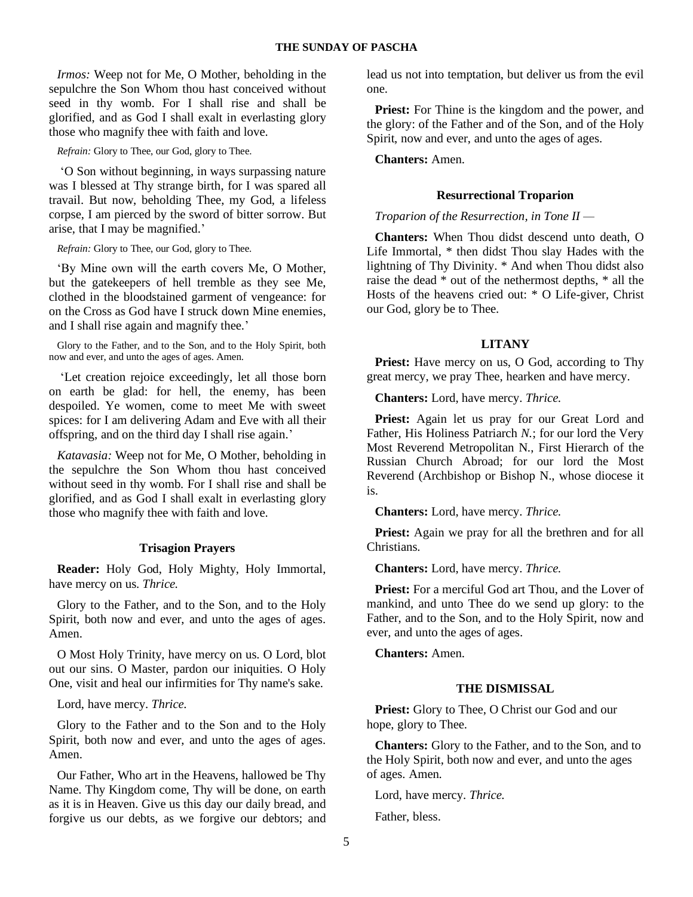*Irmos:* Weep not for Me, O Mother, beholding in the sepulchre the Son Whom thou hast conceived without seed in thy womb. For I shall rise and shall be glorified, and as God I shall exalt in everlasting glory those who magnify thee with faith and love.

*Refrain:* Glory to Thee, our God, glory to Thee.

'O Son without beginning, in ways surpassing nature was I blessed at Thy strange birth, for I was spared all travail. But now, beholding Thee, my God, a lifeless corpse, I am pierced by the sword of bitter sorrow. But arise, that I may be magnified.'

*Refrain:* Glory to Thee, our God, glory to Thee.

'By Mine own will the earth covers Me, O Mother, but the gatekeepers of hell tremble as they see Me, clothed in the bloodstained garment of vengeance: for on the Cross as God have I struck down Mine enemies, and I shall rise again and magnify thee.'

Glory to the Father, and to the Son, and to the Holy Spirit, both now and ever, and unto the ages of ages. Amen.

'Let creation rejoice exceedingly, let all those born on earth be glad: for hell, the enemy, has been despoiled. Ye women, come to meet Me with sweet spices: for I am delivering Adam and Eve with all their offspring, and on the third day I shall rise again.'

*Katavasia:* Weep not for Me, O Mother, beholding in the sepulchre the Son Whom thou hast conceived without seed in thy womb. For I shall rise and shall be glorified, and as God I shall exalt in everlasting glory those who magnify thee with faith and love.

### **Trisagion Prayers**

**Reader:** Holy God, Holy Mighty, Holy Immortal, have mercy on us. *Thrice.*

Glory to the Father, and to the Son, and to the Holy Spirit, both now and ever, and unto the ages of ages. Amen.

O Most Holy Trinity, have mercy on us. O Lord, blot out our sins. O Master, pardon our iniquities. O Holy One, visit and heal our infirmities for Thy name's sake.

Lord, have mercy. *Thrice.*

Glory to the Father and to the Son and to the Holy Spirit, both now and ever, and unto the ages of ages. Amen.

Our Father, Who art in the Heavens, hallowed be Thy Name. Thy Kingdom come, Thy will be done, on earth as it is in Heaven. Give us this day our daily bread, and forgive us our debts, as we forgive our debtors; and

lead us not into temptation, but deliver us from the evil one.

**Priest:** For Thine is the kingdom and the power, and the glory: of the Father and of the Son, and of the Holy Spirit, now and ever, and unto the ages of ages.

**Chanters:** Amen.

#### **Resurrectional Troparion**

*Troparion of the Resurrection, in Tone II —*

**Chanters:** When Thou didst descend unto death, O Life Immortal, \* then didst Thou slay Hades with the lightning of Thy Divinity. \* And when Thou didst also raise the dead \* out of the nethermost depths, \* all the Hosts of the heavens cried out: \* O Life-giver, Christ our God, glory be to Thee.

## **LITANY**

**Priest:** Have mercy on us, O God, according to Thy great mercy, we pray Thee, hearken and have mercy.

**Chanters:** Lord, have mercy. *Thrice.*

**Priest:** Again let us pray for our Great Lord and Father, His Holiness Patriarch *N.*; for our lord the Very Most Reverend Metropolitan N., First Hierarch of the Russian Church Abroad; for our lord the Most Reverend (Archbishop or Bishop N., whose diocese it is.

**Chanters:** Lord, have mercy. *Thrice.*

**Priest:** Again we pray for all the brethren and for all Christians.

**Chanters:** Lord, have mercy. *Thrice.*

**Priest:** For a merciful God art Thou, and the Lover of mankind, and unto Thee do we send up glory: to the Father, and to the Son, and to the Holy Spirit, now and ever, and unto the ages of ages.

**Chanters:** Amen.

### **THE DISMISSAL**

**Priest:** Glory to Thee, O Christ our God and our hope, glory to Thee.

**Chanters:** Glory to the Father, and to the Son, and to the Holy Spirit, both now and ever, and unto the ages of ages. Amen.

Lord, have mercy. *Thrice.*

Father, bless.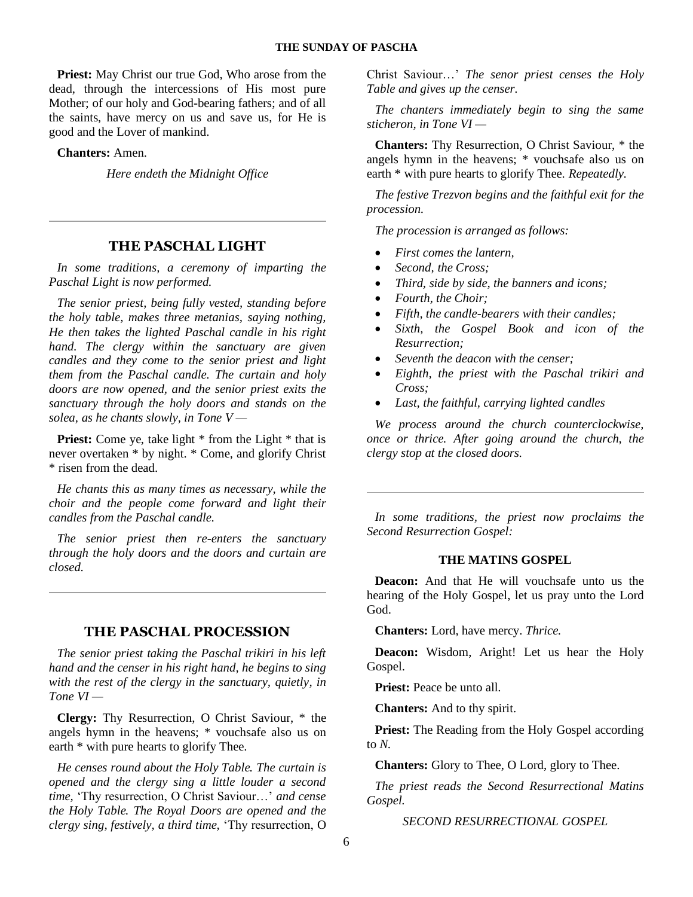**Priest:** May Christ our true God, Who arose from the dead, through the intercessions of His most pure Mother; of our holy and God-bearing fathers; and of all the saints, have mercy on us and save us, for He is good and the Lover of mankind.

#### **Chanters:** Amen.

*Here endeth the Midnight Office*

## **THE PASCHAL LIGHT**

*In some traditions, a ceremony of imparting the Paschal Light is now performed.* 

*The senior priest, being fully vested, standing before the holy table, makes three metanias, saying nothing, He then takes the lighted Paschal candle in his right hand. The clergy within the sanctuary are given candles and they come to the senior priest and light them from the Paschal candle. The curtain and holy doors are now opened, and the senior priest exits the sanctuary through the holy doors and stands on the solea, as he chants slowly, in Tone V —*

**Priest:** Come ye, take light \* from the Light \* that is never overtaken \* by night. \* Come, and glorify Christ \* risen from the dead.

*He chants this as many times as necessary, while the choir and the people come forward and light their candles from the Paschal candle.*

*The senior priest then re-enters the sanctuary through the holy doors and the doors and curtain are closed.*

## **THE PASCHAL PROCESSION**

*The senior priest taking the Paschal trikiri in his left hand and the censer in his right hand, he begins to sing with the rest of the clergy in the sanctuary, quietly, in Tone VI —*

**Clergy:** Thy Resurrection, O Christ Saviour, \* the angels hymn in the heavens; \* vouchsafe also us on earth \* with pure hearts to glorify Thee.

*He censes round about the Holy Table. The curtain is opened and the clergy sing a little louder a second time,* 'Thy resurrection, O Christ Saviour…' *and cense the Holy Table. The Royal Doors are opened and the clergy sing, festively, a third time,* 'Thy resurrection, O

Christ Saviour…' *The senor priest censes the Holy Table and gives up the censer.*

*The chanters immediately begin to sing the same sticheron, in Tone VI —*

**Chanters:** Thy Resurrection, O Christ Saviour, \* the angels hymn in the heavens; \* vouchsafe also us on earth \* with pure hearts to glorify Thee. *Repeatedly.*

*The festive Trezvon begins and the faithful exit for the procession.* 

*The procession is arranged as follows:*

- *First comes the lantern,*
- *Second, the Cross;*
- *Third, side by side, the banners and icons;*
- *Fourth, the Choir;*
- *Fifth, the candle-bearers with their candles;*
- *Sixth, the Gospel Book and icon of the Resurrection;*
- *Seventh the deacon with the censer;*
- *Eighth, the priest with the Paschal trikiri and Cross;*
- *Last, the faithful, carrying lighted candles*

*We process around the church counterclockwise, once or thrice. After going around the church, the clergy stop at the closed doors.*

*In some traditions, the priest now proclaims the Second Resurrection Gospel:*

### **THE MATINS GOSPEL**

**Deacon:** And that He will vouchsafe unto us the hearing of the Holy Gospel, let us pray unto the Lord God.

**Chanters:** Lord, have mercy. *Thrice.*

**Deacon:** Wisdom, Aright! Let us hear the Holy Gospel.

**Priest:** Peace be unto all.

**Chanters:** And to thy spirit.

**Priest:** The Reading from the Holy Gospel according to *N.*

**Chanters:** Glory to Thee, O Lord, glory to Thee.

*The priest reads the Second Resurrectional Matins Gospel.*

*SECOND RESURRECTIONAL GOSPEL*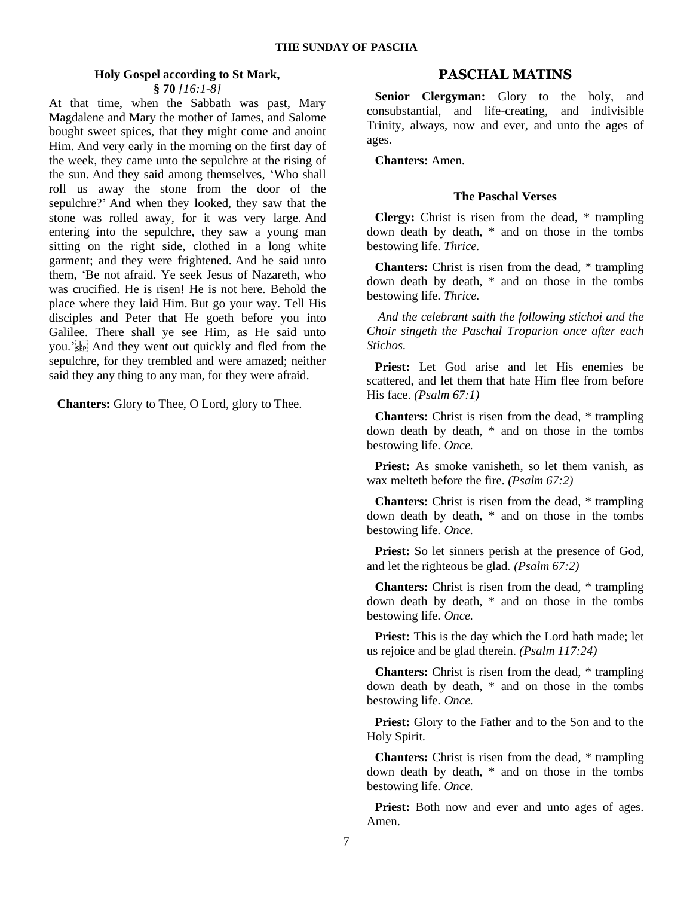## **Holy Gospel according to St Mark,**

**§ 70** *[16:1-8]*

At that time, when the Sabbath was past, Mary Magdalene and Mary the mother of James, and Salome bought sweet spices, that they might come and anoint Him. And very early in the morning on the first day of the week, they came unto the sepulchre at the rising of the sun. And they said among themselves, 'Who shall roll us away the stone from the door of the sepulchre?' And when they looked, they saw that the stone was rolled away, for it was very large. And entering into the sepulchre, they saw a young man sitting on the right side, clothed in a long white garment; and they were frightened. And he said unto them, 'Be not afraid. Ye seek Jesus of Nazareth, who was crucified. He is risen! He is not here. Behold the place where they laid Him. But go your way. Tell His disciples and Peter that He goeth before you into Galilee. There shall ye see Him, as He said unto you.<sup>5</sup><sup>[1]</sup> And they went out quickly and fled from the sepulchre, for they trembled and were amazed; neither said they any thing to any man, for they were afraid.

**Chanters:** Glory to Thee, O Lord, glory to Thee.

## **PASCHAL MATINS**

**Senior Clergyman:** Glory to the holy, and consubstantial, and life-creating, and indivisible Trinity, always, now and ever, and unto the ages of ages.

**Chanters:** Amen.

#### **The Paschal Verses**

**Clergy:** Christ is risen from the dead, \* trampling down death by death, \* and on those in the tombs bestowing life. *Thrice.*

**Chanters:** Christ is risen from the dead, \* trampling down death by death, \* and on those in the tombs bestowing life. *Thrice.*

*And the celebrant saith the following stichoi and the Choir singeth the Paschal Troparion once after each Stichos.*

**Priest:** Let God arise and let His enemies be scattered, and let them that hate Him flee from before His face. *(Psalm 67:1)*

**Chanters:** Christ is risen from the dead, \* trampling down death by death, \* and on those in the tombs bestowing life. *Once.*

**Priest:** As smoke vanisheth, so let them vanish, as wax melteth before the fire. *(Psalm 67:2)*

**Chanters:** Christ is risen from the dead, \* trampling down death by death, \* and on those in the tombs bestowing life. *Once.*

**Priest:** So let sinners perish at the presence of God, and let the righteous be glad. *(Psalm 67:2)*

**Chanters:** Christ is risen from the dead, \* trampling down death by death, \* and on those in the tombs bestowing life. *Once.*

**Priest:** This is the day which the Lord hath made; let us rejoice and be glad therein. *(Psalm 117:24)*

**Chanters:** Christ is risen from the dead, \* trampling down death by death, \* and on those in the tombs bestowing life. *Once.*

**Priest:** Glory to the Father and to the Son and to the Holy Spirit.

**Chanters:** Christ is risen from the dead, \* trampling down death by death, \* and on those in the tombs bestowing life. *Once.*

Priest: Both now and ever and unto ages of ages. Amen.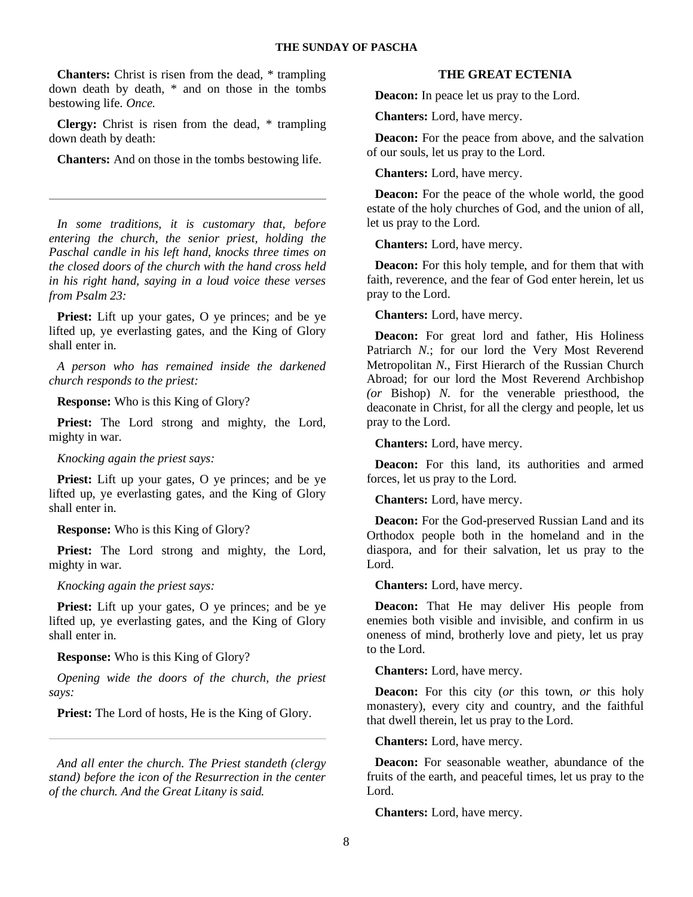**Chanters:** Christ is risen from the dead, \* trampling down death by death, \* and on those in the tombs bestowing life. *Once.*

**Clergy:** Christ is risen from the dead, \* trampling down death by death:

**Chanters:** And on those in the tombs bestowing life.

*In some traditions, it is customary that, before entering the church, the senior priest, holding the Paschal candle in his left hand, knocks three times on the closed doors of the church with the hand cross held in his right hand, saying in a loud voice these verses from Psalm 23:*

**Priest:** Lift up your gates, O ye princes; and be ye lifted up, ye everlasting gates, and the King of Glory shall enter in.

*A person who has remained inside the darkened church responds to the priest:*

**Response:** Who is this King of Glory?

**Priest:** The Lord strong and mighty, the Lord, mighty in war.

*Knocking again the priest says:*

Priest: Lift up your gates, O ye princes; and be ye lifted up, ye everlasting gates, and the King of Glory shall enter in.

**Response:** Who is this King of Glory?

**Priest:** The Lord strong and mighty, the Lord, mighty in war.

*Knocking again the priest says:*

**Priest:** Lift up your gates, O ye princes; and be ye lifted up, ye everlasting gates, and the King of Glory shall enter in.

**Response:** Who is this King of Glory?

*Opening wide the doors of the church, the priest says:*

**Priest:** The Lord of hosts, He is the King of Glory.

*And all enter the church. The Priest standeth (clergy stand) before the icon of the Resurrection in the center of the church. And the Great Litany is said.*

## **THE GREAT ECTENIA**

**Deacon:** In peace let us pray to the Lord.

**Chanters:** Lord, have mercy.

**Deacon:** For the peace from above, and the salvation of our souls, let us pray to the Lord.

**Chanters:** Lord, have mercy.

**Deacon:** For the peace of the whole world, the good estate of the holy churches of God, and the union of all, let us pray to the Lord.

**Chanters:** Lord, have mercy.

**Deacon:** For this holy temple, and for them that with faith, reverence, and the fear of God enter herein, let us pray to the Lord.

**Chanters:** Lord, have mercy.

**Deacon:** For great lord and father, His Holiness Patriarch *N.*; for our lord the Very Most Reverend Metropolitan *N.*, First Hierarch of the Russian Church Abroad; for our lord the Most Reverend Archbishop *(or* Bishop) *N*. for the venerable priesthood, the deaconate in Christ, for all the clergy and people, let us pray to the Lord.

**Chanters:** Lord, have mercy.

**Deacon:** For this land, its authorities and armed forces, let us pray to the Lord.

**Chanters:** Lord, have mercy.

**Deacon:** For the God-preserved Russian Land and its Orthodox people both in the homeland and in the diaspora, and for their salvation, let us pray to the Lord.

**Chanters:** Lord, have mercy.

**Deacon:** That He may deliver His people from enemies both visible and invisible, and confirm in us oneness of mind, brotherly love and piety, let us pray to the Lord.

**Chanters:** Lord, have mercy.

**Deacon:** For this city (*or* this town, *or* this holy monastery), every city and country, and the faithful that dwell therein, let us pray to the Lord.

**Chanters:** Lord, have mercy.

**Deacon:** For seasonable weather, abundance of the fruits of the earth, and peaceful times, let us pray to the Lord.

**Chanters:** Lord, have mercy.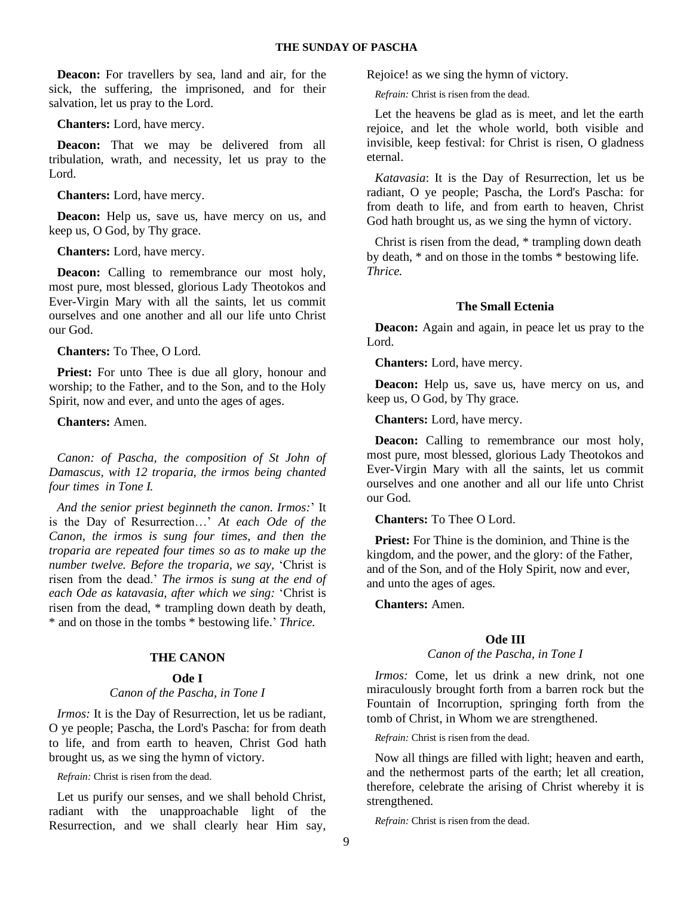**Deacon:** For travellers by sea, land and air, for the sick, the suffering, the imprisoned, and for their salvation, let us pray to the Lord.

**Chanters:** Lord, have mercy.

**Deacon:** That we may be delivered from all tribulation, wrath, and necessity, let us pray to the Lord.

**Chanters:** Lord, have mercy.

**Deacon:** Help us, save us, have mercy on us, and keep us, O God, by Thy grace.

**Chanters:** Lord, have mercy.

**Deacon:** Calling to remembrance our most holy, most pure, most blessed, glorious Lady Theotokos and Ever-Virgin Mary with all the saints, let us commit ourselves and one another and all our life unto Christ our God.

**Chanters:** To Thee, O Lord.

Priest: For unto Thee is due all glory, honour and worship; to the Father, and to the Son, and to the Holy Spirit, now and ever, and unto the ages of ages.

### **Chanters:** Amen.

*Canon: of Pascha, the composition of St John of Damascus, with 12 troparia, the irmos being chanted four times in Tone I.* 

*And the senior priest beginneth the canon. Irmos:*' It is the Day of Resurrection…' *At each Ode of the Canon, the irmos is sung four times, and then the troparia are repeated four times so as to make up the number twelve. Before the troparia, we say,* 'Christ is risen from the dead.' *The irmos is sung at the end of each Ode as katavasia, after which we sing:* 'Christ is risen from the dead, \* trampling down death by death, \* and on those in the tombs \* bestowing life.' *Thrice.*

## **THE CANON**

## **Ode I**

## *Canon of the Pascha, in Tone I*

*Irmos:* It is the Day of Resurrection, let us be radiant, O ye people; Pascha, the Lord's Pascha: for from death to life, and from earth to heaven, Christ God hath brought us, as we sing the hymn of victory.

*Refrain:* Christ is risen from the dead.

Let us purify our senses, and we shall behold Christ, radiant with the unapproachable light of the Resurrection, and we shall clearly hear Him say,

Rejoice! as we sing the hymn of victory.

*Refrain:* Christ is risen from the dead.

Let the heavens be glad as is meet, and let the earth rejoice, and let the whole world, both visible and invisible, keep festival: for Christ is risen, O gladness eternal.

*Katavasia*: It is the Day of Resurrection, let us be radiant, O ye people; Pascha, the Lord's Pascha: for from death to life, and from earth to heaven, Christ God hath brought us, as we sing the hymn of victory.

Christ is risen from the dead, \* trampling down death by death, \* and on those in the tombs \* bestowing life. *Thrice.* 

#### **The Small Ectenia**

**Deacon:** Again and again, in peace let us pray to the Lord.

**Chanters:** Lord, have mercy.

**Deacon:** Help us, save us, have mercy on us, and keep us, O God, by Thy grace.

**Chanters:** Lord, have mercy.

**Deacon:** Calling to remembrance our most holy, most pure, most blessed, glorious Lady Theotokos and Ever-Virgin Mary with all the saints, let us commit ourselves and one another and all our life unto Christ our God.

**Chanters:** To Thee O Lord.

**Priest:** For Thine is the dominion, and Thine is the kingdom, and the power, and the glory: of the Father, and of the Son, and of the Holy Spirit, now and ever, and unto the ages of ages.

**Chanters:** Amen.

#### **Ode III**

*Canon of the Pascha, in Tone I*

*Irmos:* Come, let us drink a new drink, not one miraculously brought forth from a barren rock but the Fountain of Incorruption, springing forth from the tomb of Christ, in Whom we are strengthened.

*Refrain:* Christ is risen from the dead.

Now all things are filled with light; heaven and earth, and the nethermost parts of the earth; let all creation, therefore, celebrate the arising of Christ whereby it is strengthened.

*Refrain:* Christ is risen from the dead.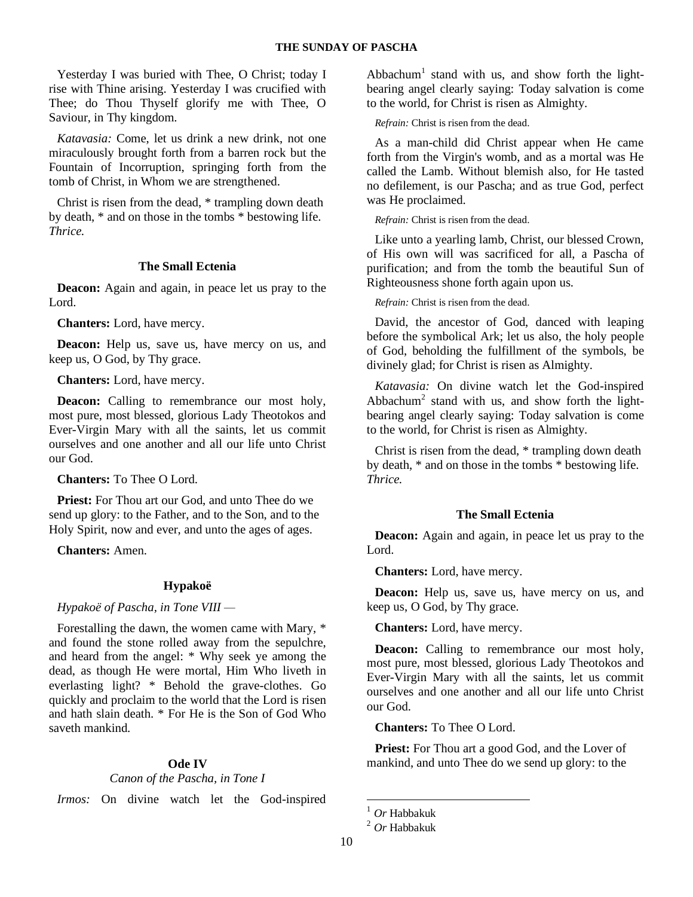Yesterday I was buried with Thee, O Christ; today I rise with Thine arising. Yesterday I was crucified with Thee; do Thou Thyself glorify me with Thee, O Saviour, in Thy kingdom.

*Katavasia:* Come, let us drink a new drink, not one miraculously brought forth from a barren rock but the Fountain of Incorruption, springing forth from the tomb of Christ, in Whom we are strengthened.

Christ is risen from the dead, \* trampling down death by death, \* and on those in the tombs \* bestowing life. *Thrice.* 

### **The Small Ectenia**

**Deacon:** Again and again, in peace let us pray to the Lord.

**Chanters:** Lord, have mercy.

**Deacon:** Help us, save us, have mercy on us, and keep us, O God, by Thy grace.

**Chanters:** Lord, have mercy.

**Deacon:** Calling to remembrance our most holy, most pure, most blessed, glorious Lady Theotokos and Ever-Virgin Mary with all the saints, let us commit ourselves and one another and all our life unto Christ our God.

**Chanters:** To Thee O Lord.

**Priest:** For Thou art our God, and unto Thee do we send up glory: to the Father, and to the Son, and to the Holy Spirit, now and ever, and unto the ages of ages.

**Chanters:** Amen.

## **Hypakoë**

*Hypakoë of Pascha, in Tone VIII —*

Forestalling the dawn, the women came with Mary, \* and found the stone rolled away from the sepulchre, and heard from the angel: \* Why seek ye among the dead, as though He were mortal, Him Who liveth in everlasting light? \* Behold the grave-clothes. Go quickly and proclaim to the world that the Lord is risen and hath slain death. \* For He is the Son of God Who saveth mankind.

### **Ode IV**

## *Canon of the Pascha, in Tone I*

*Irmos:* On divine watch let the God-inspired

Abbachum<sup>1</sup> stand with us, and show forth the lightbearing angel clearly saying: Today salvation is come to the world, for Christ is risen as Almighty.

*Refrain:* Christ is risen from the dead.

As a man-child did Christ appear when He came forth from the Virgin's womb, and as a mortal was He called the Lamb. Without blemish also, for He tasted no defilement, is our Pascha; and as true God, perfect was He proclaimed.

*Refrain:* Christ is risen from the dead.

Like unto a yearling lamb, Christ, our blessed Crown, of His own will was sacrificed for all, a Pascha of purification; and from the tomb the beautiful Sun of Righteousness shone forth again upon us.

*Refrain:* Christ is risen from the dead.

David, the ancestor of God, danced with leaping before the symbolical Ark; let us also, the holy people of God, beholding the fulfillment of the symbols, be divinely glad; for Christ is risen as Almighty.

*Katavasia:* On divine watch let the God-inspired Abbachum<sup>2</sup> stand with us, and show forth the lightbearing angel clearly saying: Today salvation is come to the world, for Christ is risen as Almighty.

Christ is risen from the dead, \* trampling down death by death, \* and on those in the tombs \* bestowing life. *Thrice.* 

#### **The Small Ectenia**

**Deacon:** Again and again, in peace let us pray to the Lord.

**Chanters:** Lord, have mercy.

**Deacon:** Help us, save us, have mercy on us, and keep us, O God, by Thy grace.

**Chanters:** Lord, have mercy.

**Deacon:** Calling to remembrance our most holy, most pure, most blessed, glorious Lady Theotokos and Ever-Virgin Mary with all the saints, let us commit ourselves and one another and all our life unto Christ our God.

### **Chanters:** To Thee O Lord.

**Priest:** For Thou art a good God, and the Lover of mankind, and unto Thee do we send up glory: to the

<sup>1</sup> *Or* Habbakuk

<sup>2</sup> *Or* Habbakuk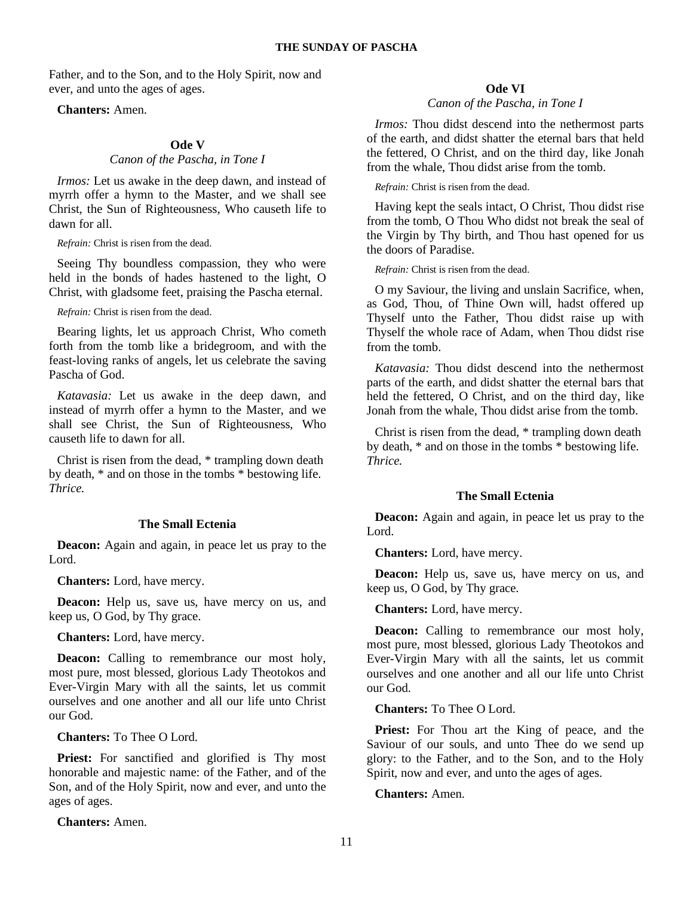Father, and to the Son, and to the Holy Spirit, now and ever, and unto the ages of ages.

**Chanters:** Amen.

## **Ode V**

## *Canon of the Pascha, in Tone I*

*Irmos:* Let us awake in the deep dawn, and instead of myrrh offer a hymn to the Master, and we shall see Christ, the Sun of Righteousness, Who causeth life to dawn for all.

*Refrain:* Christ is risen from the dead.

Seeing Thy boundless compassion, they who were held in the bonds of hades hastened to the light, O Christ, with gladsome feet, praising the Pascha eternal.

*Refrain:* Christ is risen from the dead.

Bearing lights, let us approach Christ, Who cometh forth from the tomb like a bridegroom, and with the feast-loving ranks of angels, let us celebrate the saving Pascha of God.

*Katavasia:* Let us awake in the deep dawn, and instead of myrrh offer a hymn to the Master, and we shall see Christ, the Sun of Righteousness, Who causeth life to dawn for all.

Christ is risen from the dead, \* trampling down death by death, \* and on those in the tombs \* bestowing life. *Thrice.* 

## **The Small Ectenia**

**Deacon:** Again and again, in peace let us pray to the Lord.

**Chanters:** Lord, have mercy.

**Deacon:** Help us, save us, have mercy on us, and keep us, O God, by Thy grace.

**Chanters:** Lord, have mercy.

**Deacon:** Calling to remembrance our most holy, most pure, most blessed, glorious Lady Theotokos and Ever-Virgin Mary with all the saints, let us commit ourselves and one another and all our life unto Christ our God.

**Chanters:** To Thee O Lord.

Priest: For sanctified and glorified is Thy most honorable and majestic name: of the Father, and of the Son, and of the Holy Spirit, now and ever, and unto the ages of ages.

**Chanters:** Amen.

#### **Ode VI**

*Canon of the Pascha, in Tone I*

*Irmos:* Thou didst descend into the nethermost parts of the earth, and didst shatter the eternal bars that held the fettered, O Christ, and on the third day, like Jonah from the whale, Thou didst arise from the tomb.

*Refrain:* Christ is risen from the dead.

Having kept the seals intact, O Christ, Thou didst rise from the tomb, O Thou Who didst not break the seal of the Virgin by Thy birth, and Thou hast opened for us the doors of Paradise.

*Refrain:* Christ is risen from the dead.

O my Saviour, the living and unslain Sacrifice, when, as God, Thou, of Thine Own will, hadst offered up Thyself unto the Father, Thou didst raise up with Thyself the whole race of Adam, when Thou didst rise from the tomb.

*Katavasia:* Thou didst descend into the nethermost parts of the earth, and didst shatter the eternal bars that held the fettered, O Christ, and on the third day, like Jonah from the whale, Thou didst arise from the tomb.

Christ is risen from the dead, \* trampling down death by death, \* and on those in the tombs \* bestowing life. *Thrice.* 

## **The Small Ectenia**

**Deacon:** Again and again, in peace let us pray to the Lord.

**Chanters:** Lord, have mercy.

**Deacon:** Help us, save us, have mercy on us, and keep us, O God, by Thy grace.

**Chanters:** Lord, have mercy.

**Deacon:** Calling to remembrance our most holy, most pure, most blessed, glorious Lady Theotokos and Ever-Virgin Mary with all the saints, let us commit ourselves and one another and all our life unto Christ our God.

#### **Chanters:** To Thee O Lord.

**Priest:** For Thou art the King of peace, and the Saviour of our souls, and unto Thee do we send up glory: to the Father, and to the Son, and to the Holy Spirit, now and ever, and unto the ages of ages.

**Chanters:** Amen.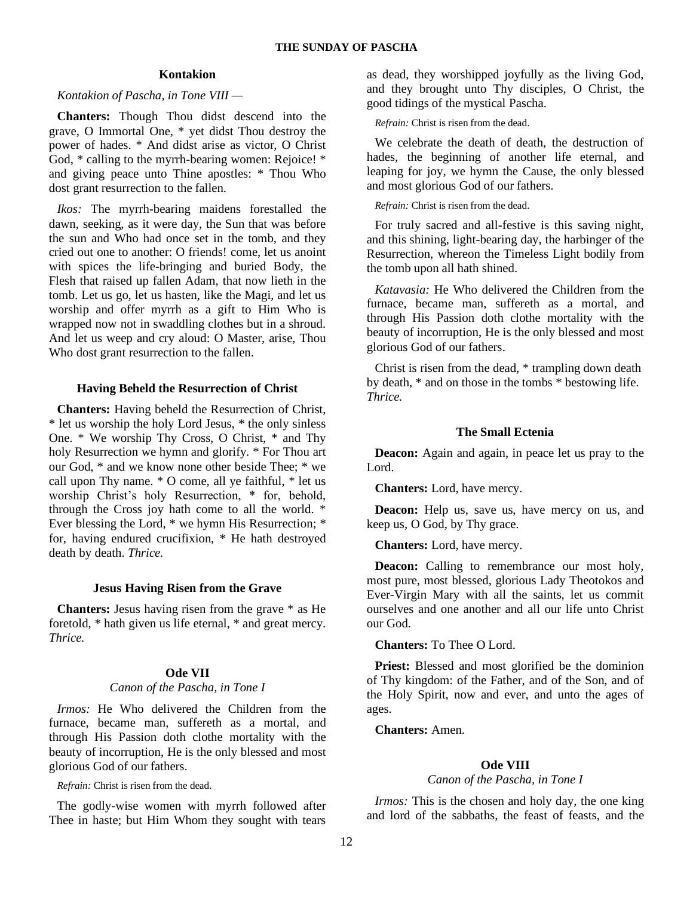#### **Kontakion**

#### *Kontakion of Pascha, in Tone VIII —*

**Chanters:** Though Thou didst descend into the grave, O Immortal One, \* yet didst Thou destroy the power of hades. \* And didst arise as victor, O Christ God,  $*$  calling to the myrrh-bearing women: Rejoice!  $*$ and giving peace unto Thine apostles: \* Thou Who dost grant resurrection to the fallen.

*Ikos:* The myrrh-bearing maidens forestalled the dawn, seeking, as it were day, the Sun that was before the sun and Who had once set in the tomb, and they cried out one to another: O friends! come, let us anoint with spices the life-bringing and buried Body, the Flesh that raised up fallen Adam, that now lieth in the tomb. Let us go, let us hasten, like the Magi, and let us worship and offer myrrh as a gift to Him Who is wrapped now not in swaddling clothes but in a shroud. And let us weep and cry aloud: O Master, arise, Thou Who dost grant resurrection to the fallen.

#### **Having Beheld the Resurrection of Christ**

**Chanters:** Having beheld the Resurrection of Christ, \* let us worship the holy Lord Jesus, \* the only sinless One. \* We worship Thy Cross, O Christ, \* and Thy holy Resurrection we hymn and glorify. \* For Thou art our God, \* and we know none other beside Thee; \* we call upon Thy name. \* O come, all ye faithful, \* let us worship Christ's holy Resurrection, \* for, behold, through the Cross joy hath come to all the world. \* Ever blessing the Lord, \* we hymn His Resurrection; \* for, having endured crucifixion, \* He hath destroyed death by death. *Thrice.* 

#### **Jesus Having Risen from the Grave**

**Chanters:** Jesus having risen from the grave \* as He foretold, \* hath given us life eternal, \* and great mercy. *Thrice.* 

### **Ode VII**

#### *Canon of the Pascha, in Tone I*

*Irmos:* He Who delivered the Children from the furnace, became man, suffereth as a mortal, and through His Passion doth clothe mortality with the beauty of incorruption, He is the only blessed and most glorious God of our fathers.

#### *Refrain:* Christ is risen from the dead.

The godly-wise women with myrrh followed after Thee in haste; but Him Whom they sought with tears as dead, they worshipped joyfully as the living God, and they brought unto Thy disciples, O Christ, the good tidings of the mystical Pascha.

*Refrain:* Christ is risen from the dead.

We celebrate the death of death, the destruction of hades, the beginning of another life eternal, and leaping for joy, we hymn the Cause, the only blessed and most glorious God of our fathers.

### *Refrain:* Christ is risen from the dead.

For truly sacred and all-festive is this saving night, and this shining, light-bearing day, the harbinger of the Resurrection, whereon the Timeless Light bodily from the tomb upon all hath shined.

*Katavasia:* He Who delivered the Children from the furnace, became man, suffereth as a mortal, and through His Passion doth clothe mortality with the beauty of incorruption, He is the only blessed and most glorious God of our fathers.

Christ is risen from the dead, \* trampling down death by death, \* and on those in the tombs \* bestowing life. *Thrice.* 

#### **The Small Ectenia**

**Deacon:** Again and again, in peace let us pray to the Lord.

**Chanters:** Lord, have mercy.

**Deacon:** Help us, save us, have mercy on us, and keep us, O God, by Thy grace.

**Chanters:** Lord, have mercy.

**Deacon:** Calling to remembrance our most holy, most pure, most blessed, glorious Lady Theotokos and Ever-Virgin Mary with all the saints, let us commit ourselves and one another and all our life unto Christ our God.

**Chanters:** To Thee O Lord.

**Priest:** Blessed and most glorified be the dominion of Thy kingdom: of the Father, and of the Son, and of the Holy Spirit, now and ever, and unto the ages of ages.

**Chanters:** Amen.

### **Ode VIII**

#### *Canon of the Pascha, in Tone I*

*Irmos:* This is the chosen and holy day, the one king and lord of the sabbaths, the feast of feasts, and the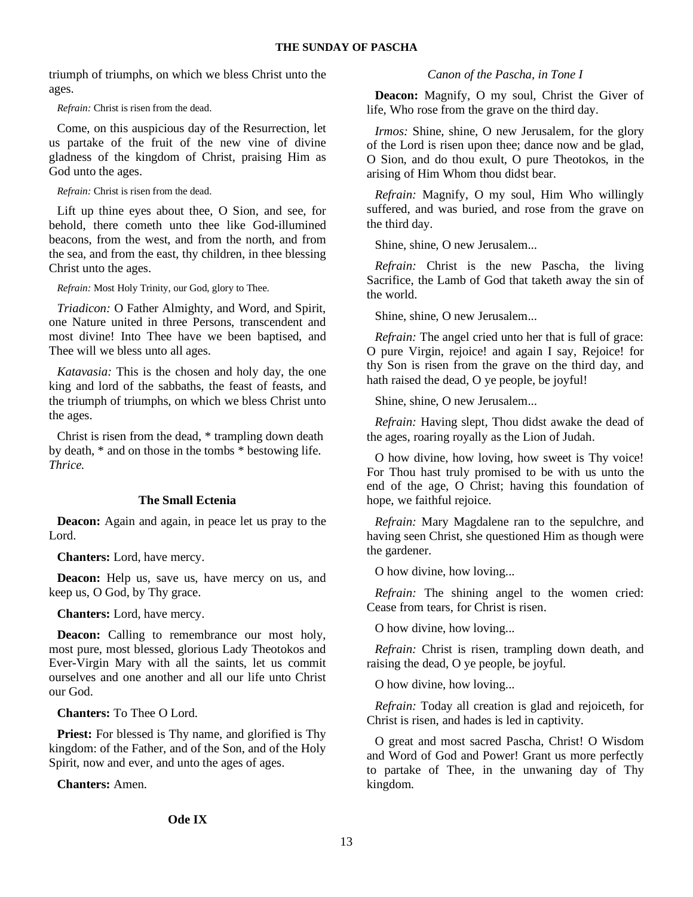triumph of triumphs, on which we bless Christ unto the ages.

*Refrain:* Christ is risen from the dead.

Come, on this auspicious day of the Resurrection, let us partake of the fruit of the new vine of divine gladness of the kingdom of Christ, praising Him as God unto the ages.

*Refrain:* Christ is risen from the dead.

Lift up thine eyes about thee, O Sion, and see, for behold, there cometh unto thee like God-illumined beacons, from the west, and from the north, and from the sea, and from the east, thy children, in thee blessing Christ unto the ages.

*Refrain:* Most Holy Trinity, our God, glory to Thee.

*Triadicon:* O Father Almighty, and Word, and Spirit, one Nature united in three Persons, transcendent and most divine! Into Thee have we been baptised, and Thee will we bless unto all ages.

*Katavasia:* This is the chosen and holy day, the one king and lord of the sabbaths, the feast of feasts, and the triumph of triumphs, on which we bless Christ unto the ages.

Christ is risen from the dead, \* trampling down death by death, \* and on those in the tombs \* bestowing life. *Thrice.* 

## **The Small Ectenia**

**Deacon:** Again and again, in peace let us pray to the Lord.

**Chanters:** Lord, have mercy.

**Deacon:** Help us, save us, have mercy on us, and keep us, O God, by Thy grace.

**Chanters:** Lord, have mercy.

**Deacon:** Calling to remembrance our most holy, most pure, most blessed, glorious Lady Theotokos and Ever-Virgin Mary with all the saints, let us commit ourselves and one another and all our life unto Christ our God.

**Chanters:** To Thee O Lord.

**Priest:** For blessed is Thy name, and glorified is Thy kingdom: of the Father, and of the Son, and of the Holy Spirit, now and ever, and unto the ages of ages.

**Chanters:** Amen.

## *Canon of the Pascha, in Tone I*

**Deacon:** Magnify, O my soul, Christ the Giver of life, Who rose from the grave on the third day.

*Irmos:* Shine, shine, O new Jerusalem, for the glory of the Lord is risen upon thee; dance now and be glad, O Sion, and do thou exult, O pure Theotokos, in the arising of Him Whom thou didst bear.

*Refrain:* Magnify, O my soul, Him Who willingly suffered, and was buried, and rose from the grave on the third day.

Shine, shine, O new Jerusalem...

*Refrain:* Christ is the new Pascha, the living Sacrifice, the Lamb of God that taketh away the sin of the world.

Shine, shine, O new Jerusalem...

*Refrain:* The angel cried unto her that is full of grace: O pure Virgin, rejoice! and again I say, Rejoice! for thy Son is risen from the grave on the third day, and hath raised the dead, O ye people, be joyful!

Shine, shine, O new Jerusalem...

*Refrain:* Having slept, Thou didst awake the dead of the ages, roaring royally as the Lion of Judah.

O how divine, how loving, how sweet is Thy voice! For Thou hast truly promised to be with us unto the end of the age, O Christ; having this foundation of hope, we faithful rejoice.

*Refrain:* Mary Magdalene ran to the sepulchre, and having seen Christ, she questioned Him as though were the gardener.

O how divine, how loving...

*Refrain:* The shining angel to the women cried: Cease from tears, for Christ is risen.

O how divine, how loving...

*Refrain:* Christ is risen, trampling down death, and raising the dead, O ye people, be joyful.

O how divine, how loving...

*Refrain:* Today all creation is glad and rejoiceth, for Christ is risen, and hades is led in captivity.

O great and most sacred Pascha, Christ! O Wisdom and Word of God and Power! Grant us more perfectly to partake of Thee, in the unwaning day of Thy kingdom.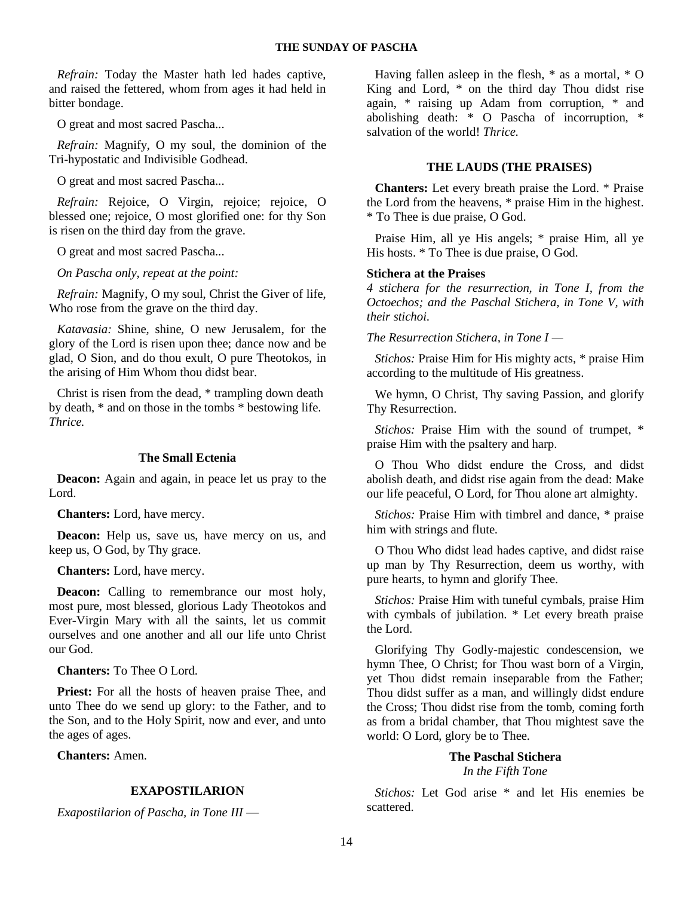*Refrain:* Today the Master hath led hades captive, and raised the fettered, whom from ages it had held in bitter bondage.

O great and most sacred Pascha...

*Refrain:* Magnify, O my soul, the dominion of the Tri-hypostatic and Indivisible Godhead.

O great and most sacred Pascha...

*Refrain:* Rejoice, O Virgin, rejoice; rejoice, O blessed one; rejoice, O most glorified one: for thy Son is risen on the third day from the grave.

O great and most sacred Pascha...

*On Pascha only, repeat at the point:* 

*Refrain:* Magnify, O my soul, Christ the Giver of life, Who rose from the grave on the third day.

*Katavasia:* Shine, shine, O new Jerusalem, for the glory of the Lord is risen upon thee; dance now and be glad, O Sion, and do thou exult, O pure Theotokos, in the arising of Him Whom thou didst bear.

Christ is risen from the dead, \* trampling down death by death, \* and on those in the tombs \* bestowing life. *Thrice.* 

#### **The Small Ectenia**

**Deacon:** Again and again, in peace let us pray to the Lord.

**Chanters:** Lord, have mercy.

**Deacon:** Help us, save us, have mercy on us, and keep us, O God, by Thy grace.

**Chanters:** Lord, have mercy.

**Deacon:** Calling to remembrance our most holy, most pure, most blessed, glorious Lady Theotokos and Ever-Virgin Mary with all the saints, let us commit ourselves and one another and all our life unto Christ our God.

**Chanters:** To Thee O Lord.

**Priest:** For all the hosts of heaven praise Thee, and unto Thee do we send up glory: to the Father, and to the Son, and to the Holy Spirit, now and ever, and unto the ages of ages.

**Chanters:** Amen.

## **EXAPOSTILARION**

*Exapostilarion of Pascha, in Tone III* —

Having fallen asleep in the flesh, \* as a mortal, \* O King and Lord, \* on the third day Thou didst rise again, \* raising up Adam from corruption, \* and abolishing death: \* O Pascha of incorruption, \* salvation of the world! *Thrice.* 

## **THE LAUDS (THE PRAISES)**

**Chanters:** Let every breath praise the Lord. \* Praise the Lord from the heavens, \* praise Him in the highest. \* To Thee is due praise, O God.

Praise Him, all ye His angels; \* praise Him, all ye His hosts. \* To Thee is due praise, O God.

## **Stichera at the Praises**

*4 stichera for the resurrection, in Tone I, from the Octoechos; and the Paschal Stichera, in Tone V, with their stichoi.* 

*The Resurrection Stichera, in Tone I —*

*Stichos:* Praise Him for His mighty acts, \* praise Him according to the multitude of His greatness.

We hymn, O Christ, Thy saving Passion, and glorify Thy Resurrection.

*Stichos:* Praise Him with the sound of trumpet,  $*$ praise Him with the psaltery and harp.

O Thou Who didst endure the Cross, and didst abolish death, and didst rise again from the dead: Make our life peaceful, O Lord, for Thou alone art almighty.

*Stichos:* Praise Him with timbrel and dance, \* praise him with strings and flute.

O Thou Who didst lead hades captive, and didst raise up man by Thy Resurrection, deem us worthy, with pure hearts, to hymn and glorify Thee.

*Stichos:* Praise Him with tuneful cymbals, praise Him with cymbals of jubilation. \* Let every breath praise the Lord.

Glorifying Thy Godly-majestic condescension, we hymn Thee, O Christ; for Thou wast born of a Virgin, yet Thou didst remain inseparable from the Father; Thou didst suffer as a man, and willingly didst endure the Cross; Thou didst rise from the tomb, coming forth as from a bridal chamber, that Thou mightest save the world: O Lord, glory be to Thee.

### **The Paschal Stichera** *In the Fifth Tone*

*Stichos:* Let God arise \* and let His enemies be scattered.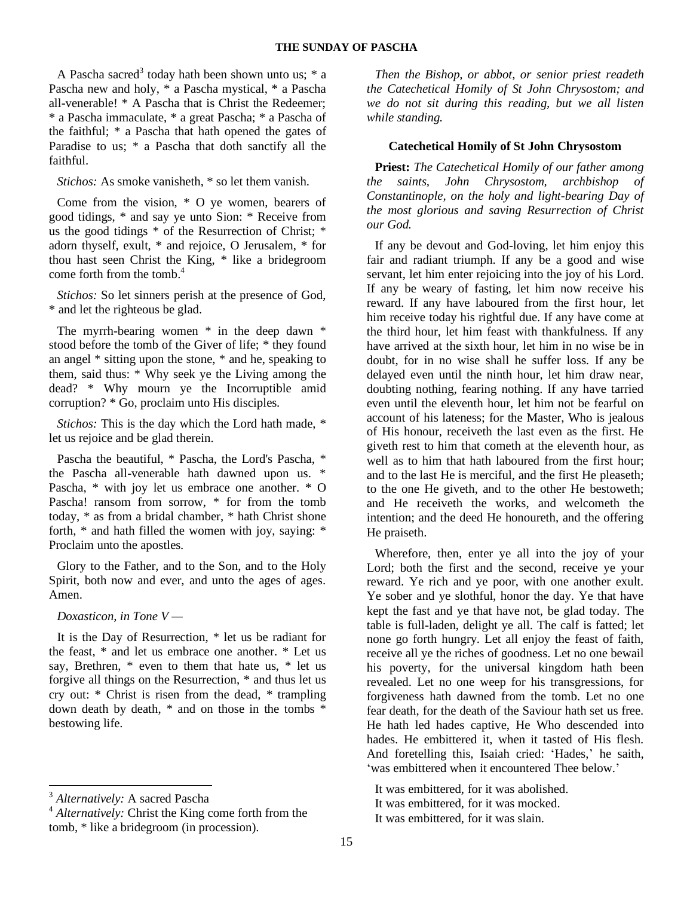A Pascha sacred<sup>3</sup> today hath been shown unto us;  $*$  a Pascha new and holy, \* a Pascha mystical, \* a Pascha all-venerable! \* A Pascha that is Christ the Redeemer; \* a Pascha immaculate, \* a great Pascha; \* a Pascha of the faithful; \* a Pascha that hath opened the gates of Paradise to us; \* a Pascha that doth sanctify all the faithful.

*Stichos:* As smoke vanisheth, \* so let them vanish.

Come from the vision, \* O ye women, bearers of good tidings, \* and say ye unto Sion: \* Receive from us the good tidings \* of the Resurrection of Christ; \* adorn thyself, exult, \* and rejoice, O Jerusalem, \* for thou hast seen Christ the King, \* like a bridegroom come forth from the tomb. 4

*Stichos:* So let sinners perish at the presence of God, \* and let the righteous be glad.

The myrrh-bearing women  $*$  in the deep dawn  $*$ stood before the tomb of the Giver of life; \* they found an angel \* sitting upon the stone, \* and he, speaking to them, said thus: \* Why seek ye the Living among the dead? \* Why mourn ye the Incorruptible amid corruption? \* Go, proclaim unto His disciples.

*Stichos:* This is the day which the Lord hath made, \* let us rejoice and be glad therein.

Pascha the beautiful, \* Pascha, the Lord's Pascha, \* the Pascha all-venerable hath dawned upon us. \* Pascha, \* with joy let us embrace one another. \* O Pascha! ransom from sorrow, \* for from the tomb today, \* as from a bridal chamber, \* hath Christ shone forth, \* and hath filled the women with joy, saying: \* Proclaim unto the apostles.

Glory to the Father, and to the Son, and to the Holy Spirit, both now and ever, and unto the ages of ages. Amen.

*Doxasticon, in Tone V —*

It is the Day of Resurrection, \* let us be radiant for the feast, \* and let us embrace one another. \* Let us say, Brethren, \* even to them that hate us, \* let us forgive all things on the Resurrection, \* and thus let us cry out: \* Christ is risen from the dead, \* trampling down death by death, \* and on those in the tombs \* bestowing life.

*Then the Bishop, or abbot, or senior priest readeth the Catechetical Homily of St John Chrysostom; and we do not sit during this reading, but we all listen while standing.* 

### **Catechetical Homily of St John Chrysostom**

**Priest:** *The Catechetical Homily of our father among the saints, John Chrysostom, archbishop of Constantinople, on the holy and light-bearing Day of the most glorious and saving Resurrection of Christ our God.* 

If any be devout and God-loving, let him enjoy this fair and radiant triumph. If any be a good and wise servant, let him enter rejoicing into the joy of his Lord. If any be weary of fasting, let him now receive his reward. If any have laboured from the first hour, let him receive today his rightful due. If any have come at the third hour, let him feast with thankfulness. If any have arrived at the sixth hour, let him in no wise be in doubt, for in no wise shall he suffer loss. If any be delayed even until the ninth hour, let him draw near, doubting nothing, fearing nothing. If any have tarried even until the eleventh hour, let him not be fearful on account of his lateness; for the Master, Who is jealous of His honour, receiveth the last even as the first. He giveth rest to him that cometh at the eleventh hour, as well as to him that hath laboured from the first hour; and to the last He is merciful, and the first He pleaseth; to the one He giveth, and to the other He bestoweth; and He receiveth the works, and welcometh the intention; and the deed He honoureth, and the offering He praiseth.

Wherefore, then, enter ye all into the joy of your Lord; both the first and the second, receive ye your reward. Ye rich and ye poor, with one another exult. Ye sober and ye slothful, honor the day. Ye that have kept the fast and ye that have not, be glad today. The table is full-laden, delight ye all. The calf is fatted; let none go forth hungry. Let all enjoy the feast of faith, receive all ye the riches of goodness. Let no one bewail his poverty, for the universal kingdom hath been revealed. Let no one weep for his transgressions, for forgiveness hath dawned from the tomb. Let no one fear death, for the death of the Saviour hath set us free. He hath led hades captive, He Who descended into hades. He embittered it, when it tasted of His flesh. And foretelling this, Isaiah cried: 'Hades,' he saith, 'was embittered when it encountered Thee below.'

It was embittered, for it was abolished. It was embittered, for it was mocked. It was embittered, for it was slain.

<sup>3</sup> *Alternatively:* A sacred Pascha

<sup>4</sup> *Alternatively:* Christ the King come forth from the tomb, \* like a bridegroom (in procession).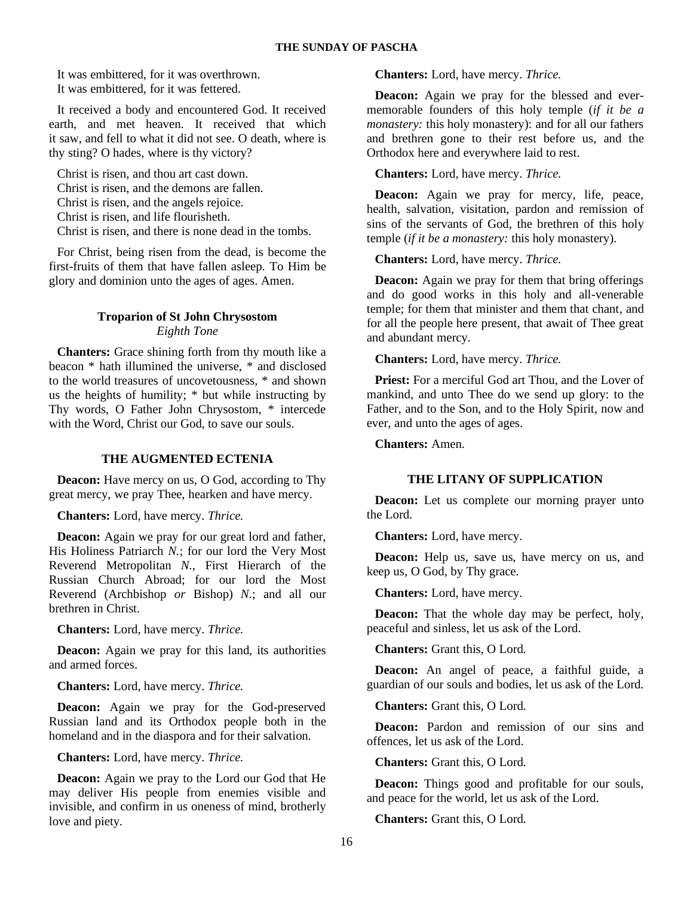It was embittered, for it was overthrown. It was embittered, for it was fettered.

It received a body and encountered God. It received earth, and met heaven. It received that which it saw, and fell to what it did not see. O death, where is thy sting? O hades, where is thy victory?

Christ is risen, and thou art cast down. Christ is risen, and the demons are fallen. Christ is risen, and the angels rejoice. Christ is risen, and life flourisheth. Christ is risen, and there is none dead in the tombs.

For Christ, being risen from the dead, is become the first-fruits of them that have fallen asleep. To Him be glory and dominion unto the ages of ages. Amen.

## **Troparion of St John Chrysostom** *Eighth Tone*

**Chanters:** Grace shining forth from thy mouth like a beacon \* hath illumined the universe, \* and disclosed to the world treasures of uncovetousness, \* and shown us the heights of humility; \* but while instructing by Thy words, O Father John Chrysostom, \* intercede with the Word, Christ our God, to save our souls.

## **THE AUGMENTED ECTENIA**

**Deacon:** Have mercy on us, O God, according to Thy great mercy, we pray Thee, hearken and have mercy.

**Chanters:** Lord, have mercy. *Thrice.*

**Deacon:** Again we pray for our great lord and father, His Holiness Patriarch *N*.; for our lord the Very Most Reverend Metropolitan *N.*, First Hierarch of the Russian Church Abroad; for our lord the Most Reverend (Archbishop *or* Bishop) *N.*; and all our brethren in Christ.

**Chanters:** Lord, have mercy. *Thrice.*

**Deacon:** Again we pray for this land, its authorities and armed forces.

**Chanters:** Lord, have mercy. *Thrice.*

**Deacon:** Again we pray for the God-preserved Russian land and its Orthodox people both in the homeland and in the diaspora and for their salvation.

**Chanters:** Lord, have mercy. *Thrice.*

**Deacon:** Again we pray to the Lord our God that He may deliver His people from enemies visible and invisible, and confirm in us oneness of mind, brotherly love and piety.

**Chanters:** Lord, have mercy. *Thrice.*

**Deacon:** Again we pray for the blessed and evermemorable founders of this holy temple (*if it be a monastery:* this holy monastery): and for all our fathers and brethren gone to their rest before us, and the Orthodox here and everywhere laid to rest.

**Chanters:** Lord, have mercy. *Thrice.*

**Deacon:** Again we pray for mercy, life, peace, health, salvation, visitation, pardon and remission of sins of the servants of God, the brethren of this holy temple (*if it be a monastery:* this holy monastery).

**Chanters:** Lord, have mercy. *Thrice.*

**Deacon:** Again we pray for them that bring offerings and do good works in this holy and all-venerable temple; for them that minister and them that chant, and for all the people here present, that await of Thee great and abundant mercy.

**Chanters:** Lord, have mercy. *Thrice.*

**Priest:** For a merciful God art Thou, and the Lover of mankind, and unto Thee do we send up glory: to the Father, and to the Son, and to the Holy Spirit, now and ever, and unto the ages of ages.

**Chanters:** Amen.

## **THE LITANY OF SUPPLICATION**

**Deacon:** Let us complete our morning prayer unto the Lord.

**Chanters:** Lord, have mercy.

**Deacon:** Help us, save us, have mercy on us, and keep us, O God, by Thy grace.

**Chanters:** Lord, have mercy.

**Deacon:** That the whole day may be perfect, holy, peaceful and sinless, let us ask of the Lord.

**Chanters:** Grant this, O Lord.

**Deacon:** An angel of peace, a faithful guide, a guardian of our souls and bodies, let us ask of the Lord.

**Chanters:** Grant this, O Lord.

**Deacon:** Pardon and remission of our sins and offences, let us ask of the Lord.

**Chanters:** Grant this, O Lord.

**Deacon:** Things good and profitable for our souls, and peace for the world, let us ask of the Lord.

**Chanters:** Grant this, O Lord.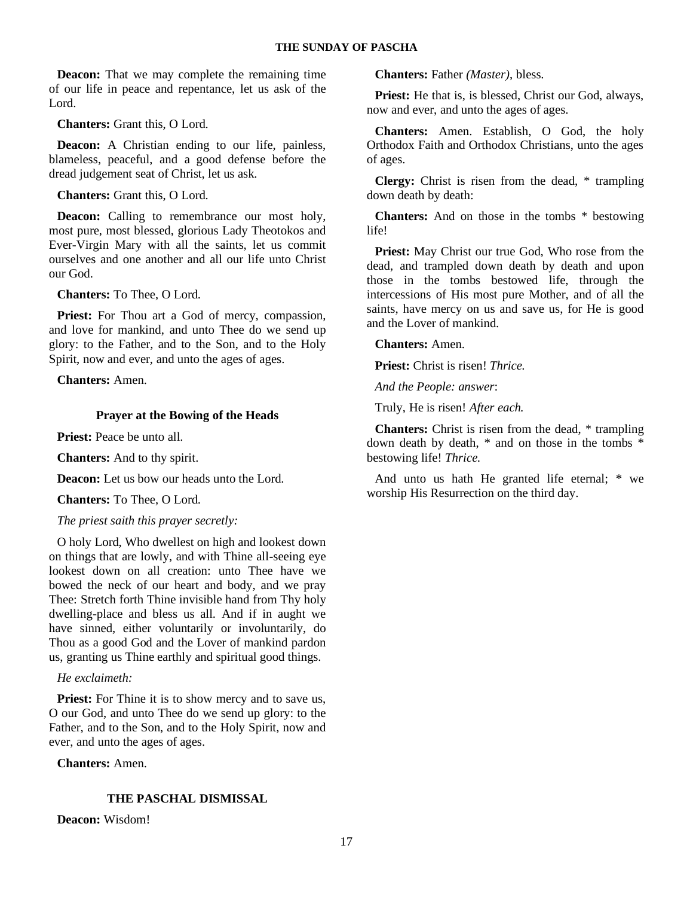**Deacon:** That we may complete the remaining time of our life in peace and repentance, let us ask of the Lord.

**Chanters:** Grant this, O Lord.

**Deacon:** A Christian ending to our life, painless, blameless, peaceful, and a good defense before the dread judgement seat of Christ, let us ask.

**Chanters:** Grant this, O Lord.

**Deacon:** Calling to remembrance our most holy, most pure, most blessed, glorious Lady Theotokos and Ever-Virgin Mary with all the saints, let us commit ourselves and one another and all our life unto Christ our God.

**Chanters:** To Thee, O Lord.

Priest: For Thou art a God of mercy, compassion, and love for mankind, and unto Thee do we send up glory: to the Father, and to the Son, and to the Holy Spirit, now and ever, and unto the ages of ages.

**Chanters:** Amen.

## **Prayer at the Bowing of the Heads**

**Priest:** Peace be unto all.

**Chanters:** And to thy spirit.

**Deacon:** Let us bow our heads unto the Lord.

**Chanters:** To Thee, O Lord.

*The priest saith this prayer secretly:* 

O holy Lord, Who dwellest on high and lookest down on things that are lowly, and with Thine all-seeing eye lookest down on all creation: unto Thee have we bowed the neck of our heart and body, and we pray Thee: Stretch forth Thine invisible hand from Thy holy dwelling-place and bless us all. And if in aught we have sinned, either voluntarily or involuntarily, do Thou as a good God and the Lover of mankind pardon us, granting us Thine earthly and spiritual good things.

*He exclaimeth:* 

**Priest:** For Thine it is to show mercy and to save us. O our God, and unto Thee do we send up glory: to the Father, and to the Son, and to the Holy Spirit, now and ever, and unto the ages of ages.

**Chanters:** Amen.

## **THE PASCHAL DISMISSAL**

**Deacon:** Wisdom!

**Chanters:** Father *(Master)*, bless.

**Priest:** He that is, is blessed, Christ our God, always, now and ever, and unto the ages of ages.

**Chanters:** Amen. Establish, O God, the holy Orthodox Faith and Orthodox Christians, unto the ages of ages.

**Clergy:** Christ is risen from the dead, \* trampling down death by death:

**Chanters:** And on those in the tombs \* bestowing life!

**Priest:** May Christ our true God, Who rose from the dead, and trampled down death by death and upon those in the tombs bestowed life, through the intercessions of His most pure Mother, and of all the saints, have mercy on us and save us, for He is good and the Lover of mankind.

**Chanters:** Amen.

**Priest:** Christ is risen! *Thrice.*

*And the People: answer*:

Truly, He is risen! *After each.*

**Chanters:** Christ is risen from the dead, \* trampling down death by death, \* and on those in the tombs \* bestowing life! *Thrice.*

And unto us hath He granted life eternal; \* we worship His Resurrection on the third day.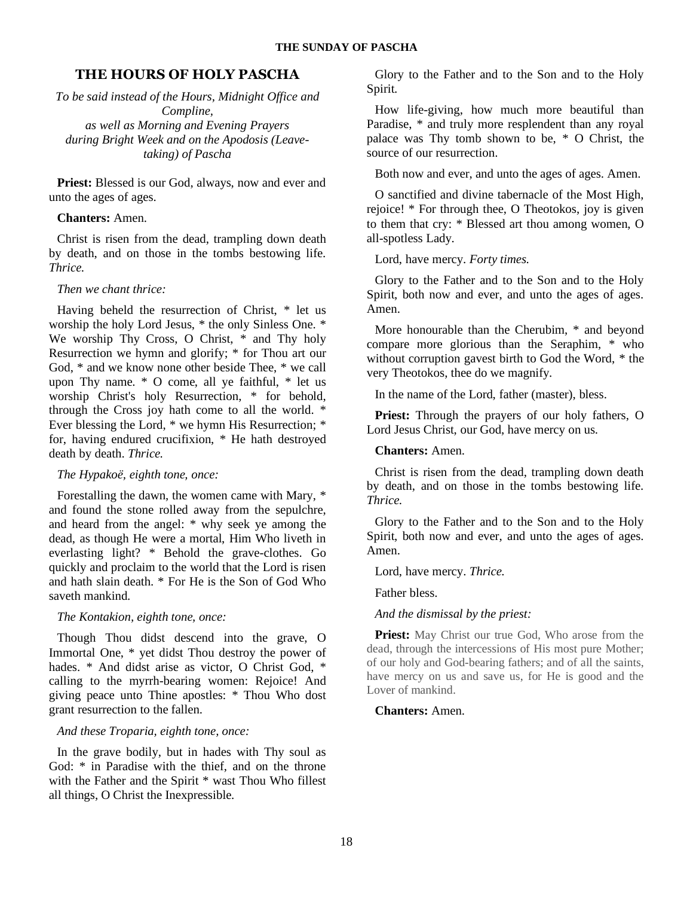## **THE HOURS OF HOLY PASCHA**

*To be said instead of the Hours, Midnight Office and Compline, as well as Morning and Evening Prayers during Bright Week and on the Apodosis (Leavetaking) of Pascha*

**Priest:** Blessed is our God, always, now and ever and unto the ages of ages.

### **Chanters:** Amen.

Christ is risen from the dead, trampling down death by death, and on those in the tombs bestowing life. *Thrice.*

### *Then we chant thrice:*

Having beheld the resurrection of Christ, \* let us worship the holy Lord Jesus, \* the only Sinless One. \* We worship Thy Cross, O Christ, \* and Thy holy Resurrection we hymn and glorify; \* for Thou art our God, \* and we know none other beside Thee, \* we call upon Thy name. \* O come, all ye faithful, \* let us worship Christ's holy Resurrection, \* for behold, through the Cross joy hath come to all the world. \* Ever blessing the Lord, \* we hymn His Resurrection; \* for, having endured crucifixion, \* He hath destroyed death by death. *Thrice.*

## *The Hypakoë, eighth tone, once:*

Forestalling the dawn, the women came with Mary, \* and found the stone rolled away from the sepulchre, and heard from the angel: \* why seek ye among the dead, as though He were a mortal, Him Who liveth in everlasting light? \* Behold the grave-clothes. Go quickly and proclaim to the world that the Lord is risen and hath slain death. \* For He is the Son of God Who saveth mankind.

## *The Kontakion, eighth tone, once:*

Though Thou didst descend into the grave, O Immortal One, \* yet didst Thou destroy the power of hades. \* And didst arise as victor, O Christ God, \* calling to the myrrh-bearing women: Rejoice! And giving peace unto Thine apostles: \* Thou Who dost grant resurrection to the fallen.

## *And these Troparia, eighth tone, once:*

In the grave bodily, but in hades with Thy soul as God: \* in Paradise with the thief, and on the throne with the Father and the Spirit \* wast Thou Who fillest all things, O Christ the Inexpressible.

Glory to the Father and to the Son and to the Holy Spirit.

How life-giving, how much more beautiful than Paradise, \* and truly more resplendent than any royal palace was Thy tomb shown to be, \* O Christ, the source of our resurrection.

Both now and ever, and unto the ages of ages. Amen.

O sanctified and divine tabernacle of the Most High, rejoice! \* For through thee, O Theotokos, joy is given to them that cry: \* Blessed art thou among women, O all-spotless Lady.

Lord, have mercy. *Forty times.* 

Glory to the Father and to the Son and to the Holy Spirit, both now and ever, and unto the ages of ages. Amen.

More honourable than the Cherubim, \* and beyond compare more glorious than the Seraphim, \* who without corruption gavest birth to God the Word, \* the very Theotokos, thee do we magnify.

In the name of the Lord, father (master), bless.

**Priest:** Through the prayers of our holy fathers, O Lord Jesus Christ, our God, have mercy on us.

## **Chanters:** Amen.

Christ is risen from the dead, trampling down death by death, and on those in the tombs bestowing life. *Thrice.*

Glory to the Father and to the Son and to the Holy Spirit, both now and ever, and unto the ages of ages. Amen.

Lord, have mercy. *Thrice.*

Father bless.

*And the dismissal by the priest:* 

**Priest:** May Christ our true God, Who arose from the dead, through the intercessions of His most pure Mother; of our holy and God-bearing fathers; and of all the saints, have mercy on us and save us, for He is good and the Lover of mankind.

## **Chanters:** Amen.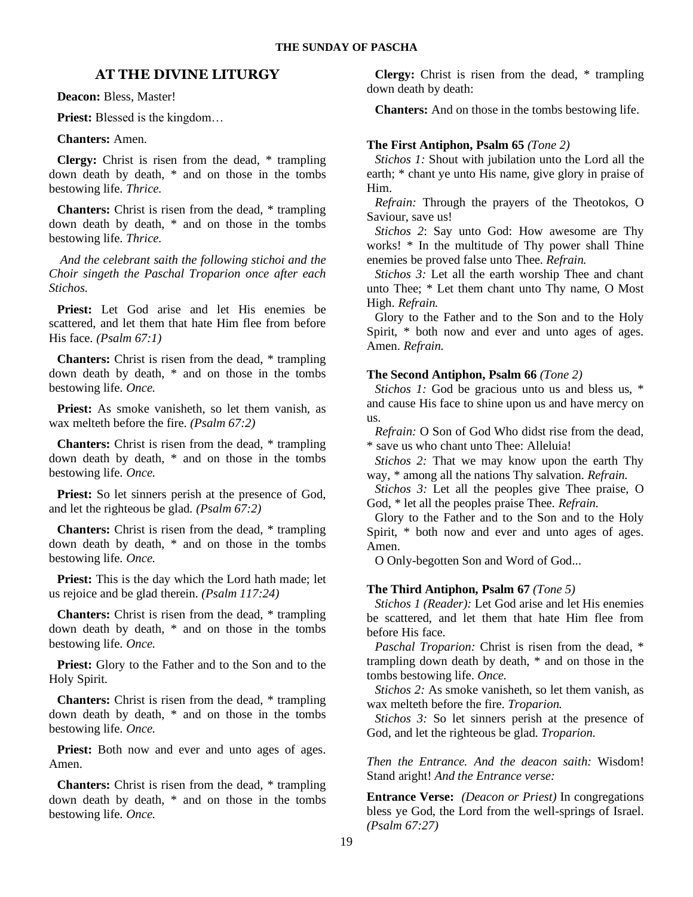## **AT THE DIVINE LITURGY**

**Deacon:** Bless, Master!

**Priest:** Blessed is the kingdom…

### **Chanters:** Amen.

**Clergy:** Christ is risen from the dead, \* trampling down death by death, \* and on those in the tombs bestowing life. *Thrice.*

**Chanters:** Christ is risen from the dead, \* trampling down death by death, \* and on those in the tombs bestowing life. *Thrice.*

*And the celebrant saith the following stichoi and the Choir singeth the Paschal Troparion once after each Stichos.*

**Priest:** Let God arise and let His enemies be scattered, and let them that hate Him flee from before His face. *(Psalm 67:1)*

**Chanters:** Christ is risen from the dead, \* trampling down death by death, \* and on those in the tombs bestowing life. *Once.*

**Priest:** As smoke vanisheth, so let them vanish, as wax melteth before the fire. *(Psalm 67:2)*

**Chanters:** Christ is risen from the dead, \* trampling down death by death, \* and on those in the tombs bestowing life. *Once.*

**Priest:** So let sinners perish at the presence of God, and let the righteous be glad. *(Psalm 67:2)*

**Chanters:** Christ is risen from the dead, \* trampling down death by death, \* and on those in the tombs bestowing life. *Once.*

**Priest:** This is the day which the Lord hath made; let us rejoice and be glad therein. *(Psalm 117:24)*

**Chanters:** Christ is risen from the dead, \* trampling down death by death, \* and on those in the tombs bestowing life. *Once.*

**Priest:** Glory to the Father and to the Son and to the Holy Spirit.

**Chanters:** Christ is risen from the dead, \* trampling down death by death, \* and on those in the tombs bestowing life. *Once.*

**Priest:** Both now and ever and unto ages of ages. Amen.

**Chanters:** Christ is risen from the dead, \* trampling down death by death, \* and on those in the tombs bestowing life. *Once.*

**Clergy:** Christ is risen from the dead, \* trampling down death by death:

**Chanters:** And on those in the tombs bestowing life.

## **The First Antiphon, Psalm 65** *(Tone 2)*

*Stichos 1:* Shout with jubilation unto the Lord all the earth; \* chant ye unto His name, give glory in praise of Him.

*Refrain:* Through the prayers of the Theotokos, O Saviour, save us!

*Stichos 2*: Say unto God: How awesome are Thy works! \* In the multitude of Thy power shall Thine enemies be proved false unto Thee. *Refrain.*

*Stichos 3:* Let all the earth worship Thee and chant unto Thee; \* Let them chant unto Thy name, O Most High. *Refrain.*

Glory to the Father and to the Son and to the Holy Spirit, \* both now and ever and unto ages of ages. Amen. *Refrain.*

## **The Second Antiphon, Psalm 66** *(Tone 2)*

*Stichos 1:* God be gracious unto us and bless us,  $*$ and cause His face to shine upon us and have mercy on us.

*Refrain:* O Son of God Who didst rise from the dead, \* save us who chant unto Thee: Alleluia!

*Stichos 2:* That we may know upon the earth Thy way, \* among all the nations Thy salvation. *Refrain.*

*Stichos 3:* Let all the peoples give Thee praise, O God, \* let all the peoples praise Thee. *Refrain.*

Glory to the Father and to the Son and to the Holy Spirit, \* both now and ever and unto ages of ages. Amen.

O Only-begotten Son and Word of God...

## **The Third Antiphon, Psalm 67** *(Tone 5)*

*Stichos 1 (Reader):* Let God arise and let His enemies be scattered, and let them that hate Him flee from before His face.

*Paschal Troparion:* Christ is risen from the dead, \* trampling down death by death, \* and on those in the tombs bestowing life. *Once.* 

*Stichos 2:* As smoke vanisheth, so let them vanish, as wax melteth before the fire. *Troparion.*

*Stichos 3:* So let sinners perish at the presence of God, and let the righteous be glad. *Troparion.*

*Then the Entrance. And the deacon saith:* Wisdom! Stand aright! *And the Entrance verse:* 

**Entrance Verse:** *(Deacon or Priest)* In congregations bless ye God, the Lord from the well-springs of Israel. *(Psalm 67:27)*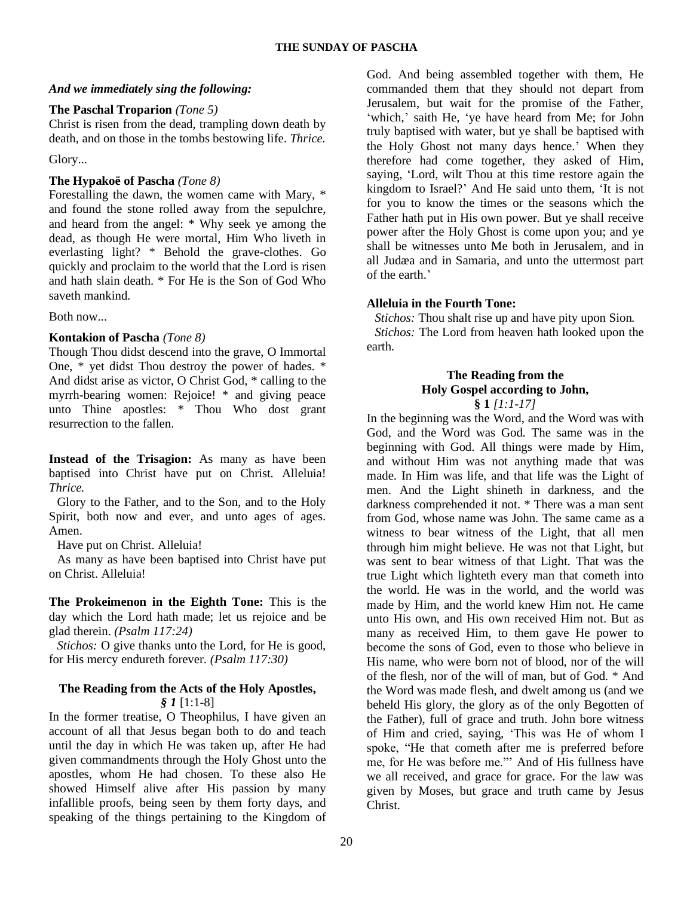## *And we immediately sing the following:*

## **The Paschal Troparion** *(Tone 5)*

Christ is risen from the dead, trampling down death by death, and on those in the tombs bestowing life. *Thrice.*

Glory...

## **The Hypakoë of Pascha** *(Tone 8)*

Forestalling the dawn, the women came with Mary, \* and found the stone rolled away from the sepulchre, and heard from the angel: \* Why seek ye among the dead, as though He were mortal, Him Who liveth in everlasting light? \* Behold the grave-clothes. Go quickly and proclaim to the world that the Lord is risen and hath slain death. \* For He is the Son of God Who saveth mankind.

Both now...

## **Kontakion of Pascha** *(Tone 8)*

Though Thou didst descend into the grave, O Immortal One, \* yet didst Thou destroy the power of hades. \* And didst arise as victor, O Christ God, \* calling to the myrrh-bearing women: Rejoice! \* and giving peace unto Thine apostles: \* Thou Who dost grant resurrection to the fallen.

**Instead of the Trisagion:** As many as have been baptised into Christ have put on Christ. Alleluia! *Thrice.*

Glory to the Father, and to the Son, and to the Holy Spirit, both now and ever, and unto ages of ages. Amen.

Have put on Christ. Alleluia!

As many as have been baptised into Christ have put on Christ. Alleluia!

**The Prokeimenon in the Eighth Tone:** This is the day which the Lord hath made; let us rejoice and be glad therein. *(Psalm 117:24)*

*Stichos:* O give thanks unto the Lord, for He is good, for His mercy endureth forever. *(Psalm 117:30)*

## **The Reading from the Acts of the Holy Apostles,**  *§ 1* [1:1-8]

In the former treatise, O Theophilus, I have given an account of all that Jesus began both to do and teach until the day in which He was taken up, after He had given commandments through the Holy Ghost unto the apostles, whom He had chosen. To these also He showed Himself alive after His passion by many infallible proofs, being seen by them forty days, and speaking of the things pertaining to the Kingdom of

God. And being assembled together with them, He commanded them that they should not depart from Jerusalem, but wait for the promise of the Father, 'which,' saith He, 'ye have heard from Me; for John truly baptised with water, but ye shall be baptised with the Holy Ghost not many days hence.' When they therefore had come together, they asked of Him, saying, 'Lord, wilt Thou at this time restore again the kingdom to Israel?' And He said unto them, 'It is not for you to know the times or the seasons which the Father hath put in His own power. But ye shall receive power after the Holy Ghost is come upon you; and ye shall be witnesses unto Me both in Jerusalem, and in all Judæa and in Samaria, and unto the uttermost part of the earth.'

## **Alleluia in the Fourth Tone:**

*Stichos:* Thou shalt rise up and have pity upon Sion*. Stichos:* The Lord from heaven hath looked upon the earth*.*

## **The Reading from the Holy Gospel according to John, § 1** *[1:1-17]*

In the beginning was the Word, and the Word was with God, and the Word was God. The same was in the beginning with God. All things were made by Him, and without Him was not anything made that was made. In Him was life, and that life was the Light of men. And the Light shineth in darkness, and the darkness comprehended it not. \* There was a man sent from God, whose name was John. The same came as a witness to bear witness of the Light, that all men through him might believe. He was not that Light, but was sent to bear witness of that Light. That was the true Light which lighteth every man that cometh into the world. He was in the world, and the world was made by Him, and the world knew Him not. He came unto His own, and His own received Him not. But as many as received Him, to them gave He power to become the sons of God, even to those who believe in His name, who were born not of blood, nor of the will of the flesh, nor of the will of man, but of God. \* And the Word was made flesh, and dwelt among us (and we beheld His glory, the glory as of the only Begotten of the Father), full of grace and truth. John bore witness of Him and cried, saying, 'This was He of whom I spoke, "He that cometh after me is preferred before me, for He was before me."' And of His fullness have we all received, and grace for grace. For the law was given by Moses, but grace and truth came by Jesus Christ.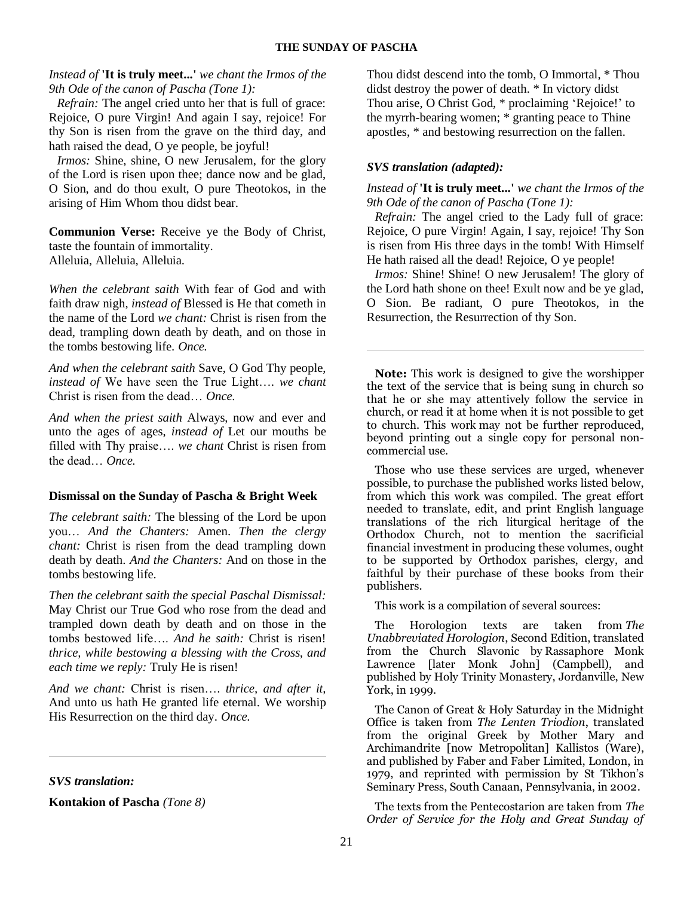*Instead of* **'It is truly meet...'** *we chant the Irmos of the 9th Ode of the canon of Pascha (Tone 1):*

*Refrain:* The angel cried unto her that is full of grace: Rejoice, O pure Virgin! And again I say, rejoice! For thy Son is risen from the grave on the third day, and hath raised the dead, O ye people, be joyful!

*Irmos:* Shine, shine, O new Jerusalem, for the glory of the Lord is risen upon thee; dance now and be glad, O Sion, and do thou exult, O pure Theotokos, in the arising of Him Whom thou didst bear.

**Communion Verse:** Receive ye the Body of Christ, taste the fountain of immortality. Alleluia, Alleluia, Alleluia.

*When the celebrant saith* With fear of God and with faith draw nigh, *instead of* Blessed is He that cometh in the name of the Lord *we chant:* Christ is risen from the dead, trampling down death by death, and on those in the tombs bestowing life. *Once.*

*And when the celebrant saith* Save, O God Thy people, *instead of* We have seen the True Light…*. we chant*  Christ is risen from the dead… *Once.* 

*And when the priest saith* Always, now and ever and unto the ages of ages, *instead of* Let our mouths be filled with Thy praise.... *we chant* Christ is risen from the dead… *Once.*

## **Dismissal on the Sunday of Pascha & Bright Week**

*The celebrant saith:* The blessing of the Lord be upon you… *And the Chanters:* Amen. *Then the clergy chant:* Christ is risen from the dead trampling down death by death. *And the Chanters:* And on those in the tombs bestowing life.

*Then the celebrant saith the special Paschal Dismissal:* May Christ our True God who rose from the dead and trampled down death by death and on those in the tombs bestowed life…. *And he saith:* Christ is risen! *thrice, while bestowing a blessing with the Cross, and each time we reply:* Truly He is risen!

*And we chant:* Christ is risen…. *thrice, and after it,*  And unto us hath He granted life eternal. We worship His Resurrection on the third day. *Once.*

*SVS translation:*

**Kontakion of Pascha** *(Tone 8)*

Thou didst descend into the tomb, O Immortal, \* Thou didst destroy the power of death. \* In victory didst Thou arise, O Christ God, \* proclaiming 'Rejoice!' to the myrrh-bearing women; \* granting peace to Thine apostles, \* and bestowing resurrection on the fallen.

### *SVS translation (adapted):*

*Instead of* **'It is truly meet...'** *we chant the Irmos of the 9th Ode of the canon of Pascha (Tone 1):*

*Refrain:* The angel cried to the Lady full of grace: Rejoice, O pure Virgin! Again, I say, rejoice! Thy Son is risen from His three days in the tomb! With Himself He hath raised all the dead! Rejoice, O ye people!

*Irmos:* Shine! Shine! O new Jerusalem! The glory of the Lord hath shone on thee! Exult now and be ye glad, O Sion. Be radiant, O pure Theotokos, in the Resurrection, the Resurrection of thy Son.

**Note:** This work is designed to give the worshipper the text of the service that is being sung in church so that he or she may attentively follow the service in church, or read it at home when it is not possible to get to church. This work may not be further reproduced, beyond printing out a single copy for personal noncommercial use.

Those who use these services are urged, whenever possible, to purchase the published works listed below, from which this work was compiled. The great effort needed to translate, edit, and print English language translations of the rich liturgical heritage of the Orthodox Church, not to mention the sacrificial financial investment in producing these volumes, ought to be supported by Orthodox parishes, clergy, and faithful by their purchase of these books from their publishers.

This work is a compilation of several sources:

The Horologion texts are taken from *The Unabbreviated Horologion*, Second Edition, translated from the Church Slavonic by Rassaphore Monk Lawrence [later Monk John] (Campbell), and published by Holy Trinity Monastery, Jordanville, New York, in 1999.

The Canon of Great & Holy Saturday in the Midnight Office is taken from *The Lenten Triodion*, translated from the original Greek by Mother Mary and Archimandrite [now Metropolitan] Kallistos (Ware), and published by Faber and Faber Limited, London, in 1979, and reprinted with permission by St Tikhon's Seminary Press, South Canaan, Pennsylvania, in 2002.

The texts from the Pentecostarion are taken from *The Order of Service for the Holy and Great Sunday of*